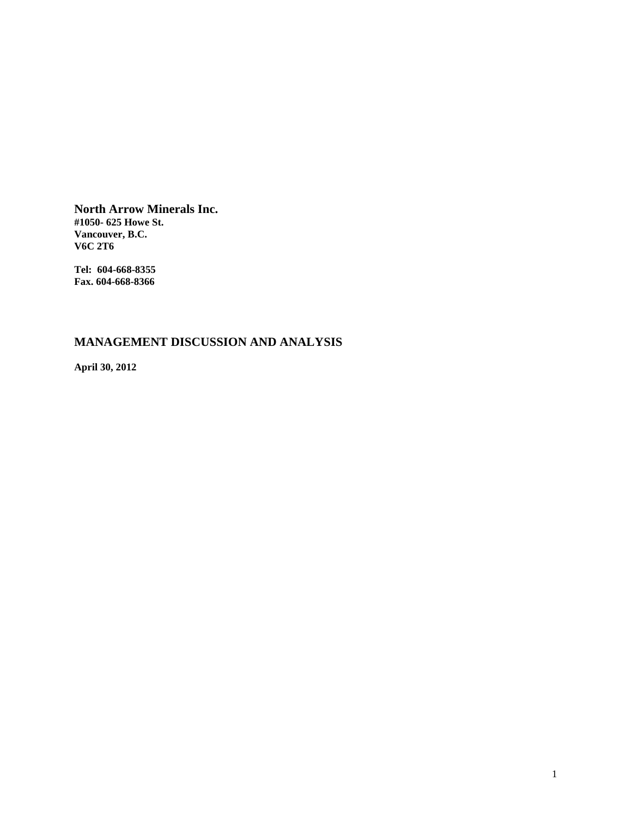**North Arrow Minerals Inc. #1050- 625 Howe St. Vancouver, B.C. V6C 2T6** 

**Tel: 604-668-8355 Fax. 604-668-8366** 

# **MANAGEMENT DISCUSSION AND ANALYSIS**

**April 30, 2012**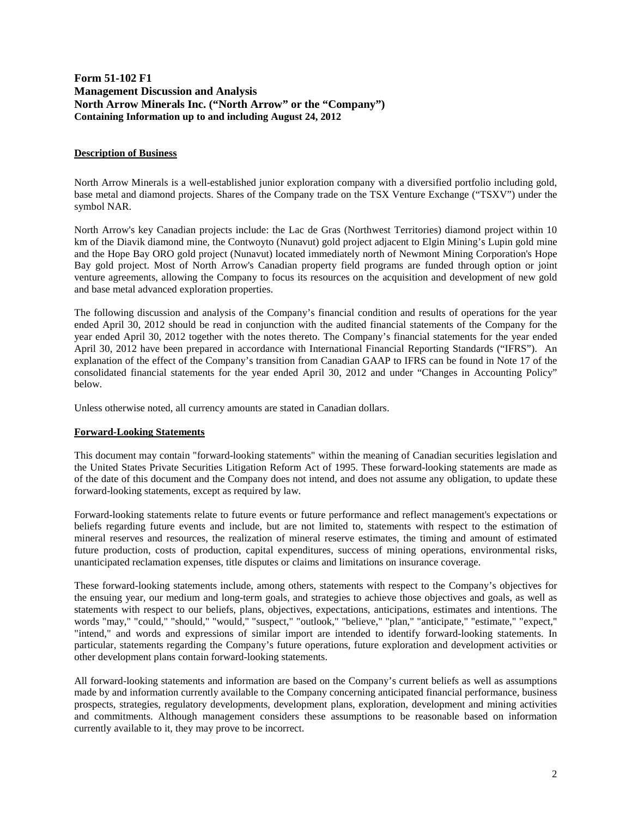# **Form 51-102 F1 Management Discussion and Analysis North Arrow Minerals Inc. ("North Arrow" or the "Company") Containing Information up to and including August 24, 2012**

### **Description of Business**

North Arrow Minerals is a well-established junior exploration company with a diversified portfolio including gold, base metal and diamond projects. Shares of the Company trade on the TSX Venture Exchange ("TSXV") under the symbol NAR.

North Arrow's key Canadian projects include: the Lac de Gras (Northwest Territories) diamond project within 10 km of the Diavik diamond mine, the Contwoyto (Nunavut) gold project adjacent to Elgin Mining's Lupin gold mine and the Hope Bay ORO gold project (Nunavut) located immediately north of Newmont Mining Corporation's Hope Bay gold project. Most of North Arrow's Canadian property field programs are funded through option or joint venture agreements, allowing the Company to focus its resources on the acquisition and development of new gold and base metal advanced exploration properties.

The following discussion and analysis of the Company's financial condition and results of operations for the year ended April 30, 2012 should be read in conjunction with the audited financial statements of the Company for the year ended April 30, 2012 together with the notes thereto. The Company's financial statements for the year ended April 30, 2012 have been prepared in accordance with International Financial Reporting Standards ("IFRS"). An explanation of the effect of the Company's transition from Canadian GAAP to IFRS can be found in Note 17 of the consolidated financial statements for the year ended April 30, 2012 and under "Changes in Accounting Policy" below.

Unless otherwise noted, all currency amounts are stated in Canadian dollars.

### **Forward-Looking Statements**

This document may contain "forward-looking statements" within the meaning of Canadian securities legislation and the United States Private Securities Litigation Reform Act of 1995. These forward-looking statements are made as of the date of this document and the Company does not intend, and does not assume any obligation, to update these forward-looking statements, except as required by law.

Forward-looking statements relate to future events or future performance and reflect management's expectations or beliefs regarding future events and include, but are not limited to, statements with respect to the estimation of mineral reserves and resources, the realization of mineral reserve estimates, the timing and amount of estimated future production, costs of production, capital expenditures, success of mining operations, environmental risks, unanticipated reclamation expenses, title disputes or claims and limitations on insurance coverage.

These forward-looking statements include, among others, statements with respect to the Company's objectives for the ensuing year, our medium and long-term goals, and strategies to achieve those objectives and goals, as well as statements with respect to our beliefs, plans, objectives, expectations, anticipations, estimates and intentions. The words "may," "could," "should," "would," "suspect," "outlook," "believe," "plan," "anticipate," "estimate," "expect," "intend," and words and expressions of similar import are intended to identify forward-looking statements. In particular, statements regarding the Company's future operations, future exploration and development activities or other development plans contain forward-looking statements.

All forward-looking statements and information are based on the Company's current beliefs as well as assumptions made by and information currently available to the Company concerning anticipated financial performance, business prospects, strategies, regulatory developments, development plans, exploration, development and mining activities and commitments. Although management considers these assumptions to be reasonable based on information currently available to it, they may prove to be incorrect.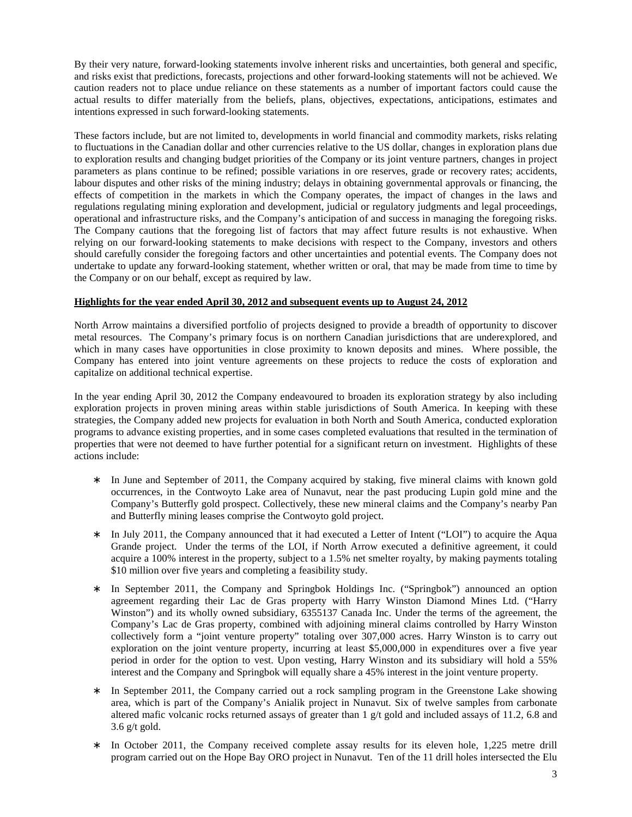By their very nature, forward-looking statements involve inherent risks and uncertainties, both general and specific, and risks exist that predictions, forecasts, projections and other forward-looking statements will not be achieved. We caution readers not to place undue reliance on these statements as a number of important factors could cause the actual results to differ materially from the beliefs, plans, objectives, expectations, anticipations, estimates and intentions expressed in such forward-looking statements.

These factors include, but are not limited to, developments in world financial and commodity markets, risks relating to fluctuations in the Canadian dollar and other currencies relative to the US dollar, changes in exploration plans due to exploration results and changing budget priorities of the Company or its joint venture partners, changes in project parameters as plans continue to be refined; possible variations in ore reserves, grade or recovery rates; accidents, labour disputes and other risks of the mining industry; delays in obtaining governmental approvals or financing, the effects of competition in the markets in which the Company operates, the impact of changes in the laws and regulations regulating mining exploration and development, judicial or regulatory judgments and legal proceedings, operational and infrastructure risks, and the Company's anticipation of and success in managing the foregoing risks. The Company cautions that the foregoing list of factors that may affect future results is not exhaustive. When relying on our forward-looking statements to make decisions with respect to the Company, investors and others should carefully consider the foregoing factors and other uncertainties and potential events. The Company does not undertake to update any forward-looking statement, whether written or oral, that may be made from time to time by the Company or on our behalf, except as required by law.

### **Highlights for the year ended April 30, 2012 and subsequent events up to August 24, 2012**

North Arrow maintains a diversified portfolio of projects designed to provide a breadth of opportunity to discover metal resources. The Company's primary focus is on northern Canadian jurisdictions that are underexplored, and which in many cases have opportunities in close proximity to known deposits and mines. Where possible, the Company has entered into joint venture agreements on these projects to reduce the costs of exploration and capitalize on additional technical expertise.

In the year ending April 30, 2012 the Company endeavoured to broaden its exploration strategy by also including exploration projects in proven mining areas within stable jurisdictions of South America. In keeping with these strategies, the Company added new projects for evaluation in both North and South America, conducted exploration programs to advance existing properties, and in some cases completed evaluations that resulted in the termination of properties that were not deemed to have further potential for a significant return on investment. Highlights of these actions include:

- ∗ In June and September of 2011, the Company acquired by staking, five mineral claims with known gold occurrences, in the Contwoyto Lake area of Nunavut, near the past producing Lupin gold mine and the Company's Butterfly gold prospect. Collectively, these new mineral claims and the Company's nearby Pan and Butterfly mining leases comprise the Contwoyto gold project.
- ∗ In July 2011, the Company announced that it had executed a Letter of Intent ("LOI") to acquire the Aqua Grande project. Under the terms of the LOI, if North Arrow executed a definitive agreement, it could acquire a 100% interest in the property, subject to a 1.5% net smelter royalty, by making payments totaling \$10 million over five years and completing a feasibility study.
- ∗ In September 2011, the Company and Springbok Holdings Inc. ("Springbok") announced an option agreement regarding their Lac de Gras property with Harry Winston Diamond Mines Ltd. ("Harry Winston") and its wholly owned subsidiary, 6355137 Canada Inc. Under the terms of the agreement, the Company's Lac de Gras property, combined with adjoining mineral claims controlled by Harry Winston collectively form a "joint venture property" totaling over 307,000 acres. Harry Winston is to carry out exploration on the joint venture property, incurring at least \$5,000,000 in expenditures over a five year period in order for the option to vest. Upon vesting, Harry Winston and its subsidiary will hold a 55% interest and the Company and Springbok will equally share a 45% interest in the joint venture property.
- In September 2011, the Company carried out a rock sampling program in the Greenstone Lake showing area, which is part of the Company's Anialik project in Nunavut. Six of twelve samples from carbonate altered mafic volcanic rocks returned assays of greater than 1 g/t gold and included assays of 11.2, 6.8 and  $3.6$  g/t gold.
- In October 2011, the Company received complete assay results for its eleven hole, 1,225 metre drill program carried out on the Hope Bay ORO project in Nunavut. Ten of the 11 drill holes intersected the Elu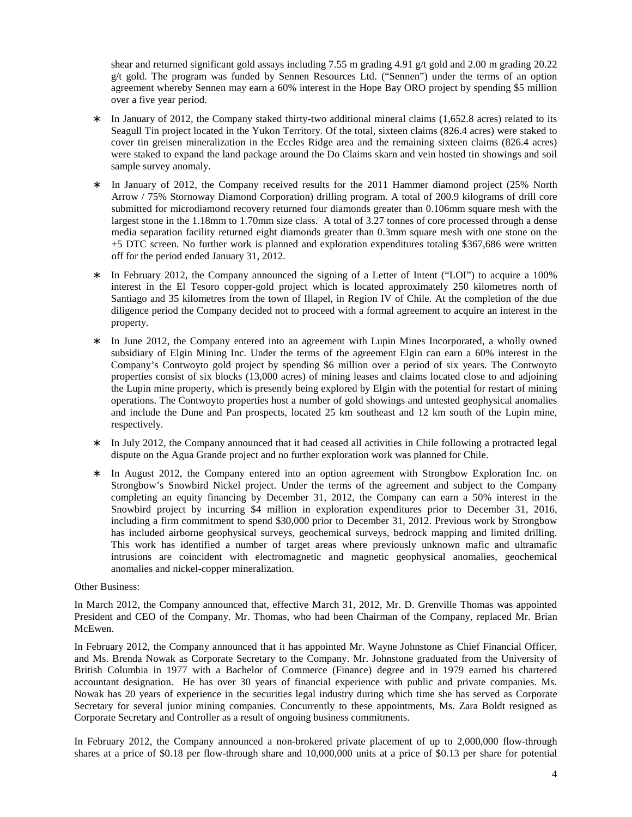shear and returned significant gold assays including 7.55 m grading 4.91 g/t gold and 2.00 m grading 20.22 g/t gold. The program was funded by Sennen Resources Ltd. ("Sennen") under the terms of an option agreement whereby Sennen may earn a 60% interest in the Hope Bay ORO project by spending \$5 million over a five year period.

- ∗ In January of 2012, the Company staked thirty-two additional mineral claims (1,652.8 acres) related to its Seagull Tin project located in the Yukon Territory. Of the total, sixteen claims (826.4 acres) were staked to cover tin greisen mineralization in the Eccles Ridge area and the remaining sixteen claims (826.4 acres) were staked to expand the land package around the Do Claims skarn and vein hosted tin showings and soil sample survey anomaly.
- ∗ In January of 2012, the Company received results for the 2011 Hammer diamond project (25% North Arrow / 75% Stornoway Diamond Corporation) drilling program. A total of 200.9 kilograms of drill core submitted for microdiamond recovery returned four diamonds greater than 0.106mm square mesh with the largest stone in the 1.18mm to 1.70mm size class. A total of 3.27 tonnes of core processed through a dense media separation facility returned eight diamonds greater than 0.3mm square mesh with one stone on the +5 DTC screen. No further work is planned and exploration expenditures totaling \$367,686 were written off for the period ended January 31, 2012.
- In February 2012, the Company announced the signing of a Letter of Intent ("LOI") to acquire a 100% interest in the El Tesoro copper-gold project which is located approximately 250 kilometres north of Santiago and 35 kilometres from the town of Illapel, in Region IV of Chile. At the completion of the due diligence period the Company decided not to proceed with a formal agreement to acquire an interest in the property.
- In June 2012, the Company entered into an agreement with Lupin Mines Incorporated, a wholly owned subsidiary of Elgin Mining Inc. Under the terms of the agreement Elgin can earn a 60% interest in the Company's Contwoyto gold project by spending \$6 million over a period of six years. The Contwoyto properties consist of six blocks (13,000 acres) of mining leases and claims located close to and adjoining the Lupin mine property, which is presently being explored by Elgin with the potential for restart of mining operations. The Contwoyto properties host a number of gold showings and untested geophysical anomalies and include the Dune and Pan prospects, located 25 km southeast and 12 km south of the Lupin mine, respectively.
- In July 2012, the Company announced that it had ceased all activities in Chile following a protracted legal dispute on the Agua Grande project and no further exploration work was planned for Chile.
- In August 2012, the Company entered into an option agreement with Strongbow Exploration Inc. on Strongbow's Snowbird Nickel project. Under the terms of the agreement and subject to the Company completing an equity financing by December 31, 2012, the Company can earn a 50% interest in the Snowbird project by incurring \$4 million in exploration expenditures prior to December 31, 2016, including a firm commitment to spend \$30,000 prior to December 31, 2012. Previous work by Strongbow has included airborne geophysical surveys, geochemical surveys, bedrock mapping and limited drilling. This work has identified a number of target areas where previously unknown mafic and ultramafic intrusions are coincident with electromagnetic and magnetic geophysical anomalies, geochemical anomalies and nickel-copper mineralization.

### Other Business:

In March 2012, the Company announced that, effective March 31, 2012, Mr. D. Grenville Thomas was appointed President and CEO of the Company. Mr. Thomas, who had been Chairman of the Company, replaced Mr. Brian McEwen.

In February 2012, the Company announced that it has appointed Mr. Wayne Johnstone as Chief Financial Officer, and Ms. Brenda Nowak as Corporate Secretary to the Company. Mr. Johnstone graduated from the University of British Columbia in 1977 with a Bachelor of Commerce (Finance) degree and in 1979 earned his chartered accountant designation. He has over 30 years of financial experience with public and private companies. Ms. Nowak has 20 years of experience in the securities legal industry during which time she has served as Corporate Secretary for several junior mining companies. Concurrently to these appointments, Ms. Zara Boldt resigned as Corporate Secretary and Controller as a result of ongoing business commitments.

In February 2012, the Company announced a non-brokered private placement of up to 2,000,000 flow-through shares at a price of \$0.18 per flow-through share and 10,000,000 units at a price of \$0.13 per share for potential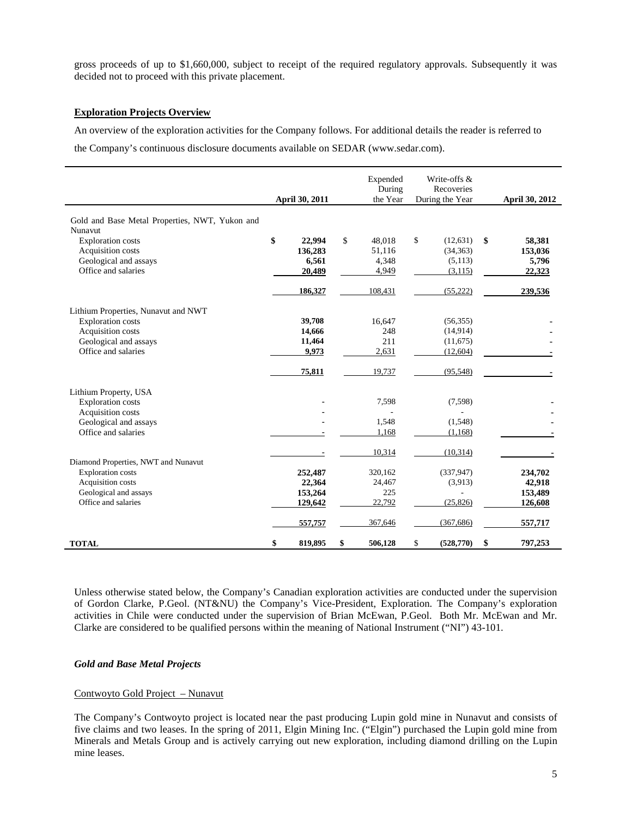gross proceeds of up to \$1,660,000, subject to receipt of the required regulatory approvals. Subsequently it was decided not to proceed with this private placement.

### **Exploration Projects Overview**

An overview of the exploration activities for the Company follows. For additional details the reader is referred to

the Company's continuous disclosure documents available on SEDAR (www.sedar.com).

|                                                | <b>April 30, 2011</b> | Expended<br>During<br>the Year | Write-offs &<br>Recoveries<br>During the Year | <b>April 30, 2012</b> |
|------------------------------------------------|-----------------------|--------------------------------|-----------------------------------------------|-----------------------|
| Gold and Base Metal Properties, NWT, Yukon and |                       |                                |                                               |                       |
| Nunavut                                        |                       |                                |                                               |                       |
| <b>Exploration costs</b>                       | \$<br>22,994          | \$<br>48.018                   | \$<br>(12, 631)                               | \$<br>58,381          |
| Acquisition costs                              | 136,283               | 51,116                         | (34, 363)                                     | 153,036               |
| Geological and assays                          | 6,561                 | 4,348                          | (5,113)                                       | 5,796                 |
| Office and salaries                            | 20,489                | 4,949                          | (3, 115)                                      | 22,323                |
|                                                |                       |                                |                                               |                       |
|                                                | 186,327               | 108,431                        | (55, 222)                                     | 239,536               |
| Lithium Properties, Nunavut and NWT            |                       |                                |                                               |                       |
| <b>Exploration costs</b>                       | 39,708                | 16,647                         | (56, 355)                                     |                       |
| Acquisition costs                              | 14,666                | 248                            | (14, 914)                                     |                       |
| Geological and assays                          | 11,464                | 211                            | (11,675)                                      |                       |
| Office and salaries                            | 9,973                 | 2,631                          | (12,604)                                      |                       |
|                                                |                       |                                |                                               |                       |
|                                                | 75,811                | 19,737                         | (95, 548)                                     |                       |
| Lithium Property, USA                          |                       |                                |                                               |                       |
| <b>Exploration costs</b>                       |                       | 7,598                          | (7,598)                                       |                       |
| Acquisition costs                              |                       | $\overline{\phantom{a}}$       |                                               |                       |
| Geological and assays                          |                       | 1,548                          | (1,548)                                       |                       |
| Office and salaries                            |                       | 1,168                          | (1,168)                                       |                       |
|                                                |                       | 10,314                         | (10, 314)                                     |                       |
| Diamond Properties, NWT and Nunavut            |                       |                                |                                               |                       |
| <b>Exploration</b> costs                       | 252,487               | 320,162                        | (337, 947)                                    | 234,702               |
| Acquisition costs                              | 22,364                | 24,467                         | (3,913)                                       | 42,918                |
| Geological and assays                          | 153,264               | 225                            |                                               | 153,489               |
| Office and salaries                            | 129,642               | 22,792                         | (25, 826)                                     | 126,608               |
|                                                | 557,757               | 367,646                        | (367, 686)                                    | 557,717               |
| <b>TOTAL</b>                                   | \$<br>819,895         | \$<br>506,128                  | \$<br>(528, 770)                              | \$<br>797,253         |

Unless otherwise stated below, the Company's Canadian exploration activities are conducted under the supervision of Gordon Clarke, P.Geol. (NT&NU) the Company's Vice-President, Exploration. The Company's exploration activities in Chile were conducted under the supervision of Brian McEwan, P.Geol. Both Mr. McEwan and Mr. Clarke are considered to be qualified persons within the meaning of National Instrument ("NI") 43-101.

### *Gold and Base Metal Projects*

### Contwoyto Gold Project – Nunavut

The Company's Contwoyto project is located near the past producing Lupin gold mine in Nunavut and consists of five claims and two leases. In the spring of 2011, Elgin Mining Inc. ("Elgin") purchased the Lupin gold mine from Minerals and Metals Group and is actively carrying out new exploration, including diamond drilling on the Lupin mine leases.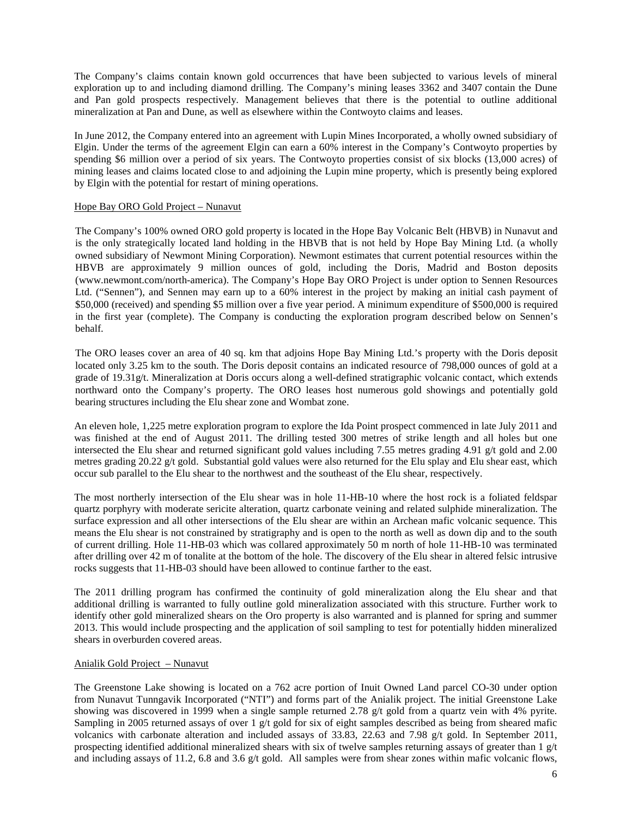The Company's claims contain known gold occurrences that have been subjected to various levels of mineral exploration up to and including diamond drilling. The Company's mining leases 3362 and 3407 contain the Dune and Pan gold prospects respectively. Management believes that there is the potential to outline additional mineralization at Pan and Dune, as well as elsewhere within the Contwoyto claims and leases.

In June 2012, the Company entered into an agreement with Lupin Mines Incorporated, a wholly owned subsidiary of Elgin. Under the terms of the agreement Elgin can earn a 60% interest in the Company's Contwoyto properties by spending \$6 million over a period of six years. The Contwoyto properties consist of six blocks (13,000 acres) of mining leases and claims located close to and adjoining the Lupin mine property, which is presently being explored by Elgin with the potential for restart of mining operations.

### Hope Bay ORO Gold Project – Nunavut

The Company's 100% owned ORO gold property is located in the Hope Bay Volcanic Belt (HBVB) in Nunavut and is the only strategically located land holding in the HBVB that is not held by Hope Bay Mining Ltd. (a wholly owned subsidiary of Newmont Mining Corporation). Newmont estimates that current potential resources within the HBVB are approximately 9 million ounces of gold, including the Doris, Madrid and Boston deposits (www.newmont.com/north-america). The Company's Hope Bay ORO Project is under option to Sennen Resources Ltd. ("Sennen"), and Sennen may earn up to a 60% interest in the project by making an initial cash payment of \$50,000 (received) and spending \$5 million over a five year period. A minimum expenditure of \$500,000 is required in the first year (complete). The Company is conducting the exploration program described below on Sennen's behalf.

The ORO leases cover an area of 40 sq. km that adjoins Hope Bay Mining Ltd.'s property with the Doris deposit located only 3.25 km to the south. The Doris deposit contains an indicated resource of 798,000 ounces of gold at a grade of 19.31g/t. Mineralization at Doris occurs along a well-defined stratigraphic volcanic contact, which extends northward onto the Company's property. The ORO leases host numerous gold showings and potentially gold bearing structures including the Elu shear zone and Wombat zone.

An eleven hole, 1,225 metre exploration program to explore the Ida Point prospect commenced in late July 2011 and was finished at the end of August 2011. The drilling tested 300 metres of strike length and all holes but one intersected the Elu shear and returned significant gold values including 7.55 metres grading 4.91 g/t gold and 2.00 metres grading 20.22 g/t gold. Substantial gold values were also returned for the Elu splay and Elu shear east, which occur sub parallel to the Elu shear to the northwest and the southeast of the Elu shear, respectively.

The most northerly intersection of the Elu shear was in hole 11-HB-10 where the host rock is a foliated feldspar quartz porphyry with moderate sericite alteration, quartz carbonate veining and related sulphide mineralization. The surface expression and all other intersections of the Elu shear are within an Archean mafic volcanic sequence. This means the Elu shear is not constrained by stratigraphy and is open to the north as well as down dip and to the south of current drilling. Hole 11-HB-03 which was collared approximately 50 m north of hole 11-HB-10 was terminated after drilling over 42 m of tonalite at the bottom of the hole. The discovery of the Elu shear in altered felsic intrusive rocks suggests that 11-HB-03 should have been allowed to continue farther to the east.

The 2011 drilling program has confirmed the continuity of gold mineralization along the Elu shear and that additional drilling is warranted to fully outline gold mineralization associated with this structure. Further work to identify other gold mineralized shears on the Oro property is also warranted and is planned for spring and summer 2013. This would include prospecting and the application of soil sampling to test for potentially hidden mineralized shears in overburden covered areas.

### Anialik Gold Project – Nunavut

The Greenstone Lake showing is located on a 762 acre portion of Inuit Owned Land parcel CO-30 under option from Nunavut Tunngavik Incorporated ("NTI") and forms part of the Anialik project. The initial Greenstone Lake showing was discovered in 1999 when a single sample returned 2.78 g/t gold from a quartz vein with 4% pyrite. Sampling in 2005 returned assays of over 1 g/t gold for six of eight samples described as being from sheared mafic volcanics with carbonate alteration and included assays of 33.83, 22.63 and 7.98 g/t gold. In September 2011, prospecting identified additional mineralized shears with six of twelve samples returning assays of greater than  $1 \frac{g}{t}$ and including assays of 11.2, 6.8 and 3.6 g/t gold. All samples were from shear zones within mafic volcanic flows,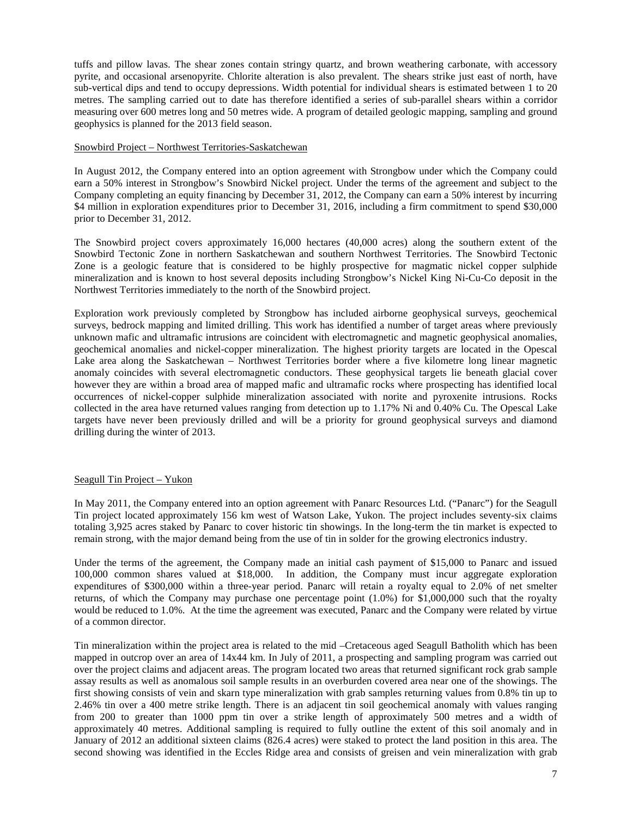tuffs and pillow lavas. The shear zones contain stringy quartz, and brown weathering carbonate, with accessory pyrite, and occasional arsenopyrite. Chlorite alteration is also prevalent. The shears strike just east of north, have sub-vertical dips and tend to occupy depressions. Width potential for individual shears is estimated between 1 to 20 metres. The sampling carried out to date has therefore identified a series of sub-parallel shears within a corridor measuring over 600 metres long and 50 metres wide. A program of detailed geologic mapping, sampling and ground geophysics is planned for the 2013 field season.

### Snowbird Project – Northwest Territories-Saskatchewan

In August 2012, the Company entered into an option agreement with Strongbow under which the Company could earn a 50% interest in Strongbow's Snowbird Nickel project. Under the terms of the agreement and subject to the Company completing an equity financing by December 31, 2012, the Company can earn a 50% interest by incurring \$4 million in exploration expenditures prior to December 31, 2016, including a firm commitment to spend \$30,000 prior to December 31, 2012.

The Snowbird project covers approximately 16,000 hectares (40,000 acres) along the southern extent of the Snowbird Tectonic Zone in northern Saskatchewan and southern Northwest Territories. The Snowbird Tectonic Zone is a geologic feature that is considered to be highly prospective for magmatic nickel copper sulphide mineralization and is known to host several deposits including Strongbow's Nickel King Ni-Cu-Co deposit in the Northwest Territories immediately to the north of the Snowbird project.

Exploration work previously completed by Strongbow has included airborne geophysical surveys, geochemical surveys, bedrock mapping and limited drilling. This work has identified a number of target areas where previously unknown mafic and ultramafic intrusions are coincident with electromagnetic and magnetic geophysical anomalies, geochemical anomalies and nickel-copper mineralization. The highest priority targets are located in the Opescal Lake area along the Saskatchewan – Northwest Territories border where a five kilometre long linear magnetic anomaly coincides with several electromagnetic conductors. These geophysical targets lie beneath glacial cover however they are within a broad area of mapped mafic and ultramafic rocks where prospecting has identified local occurrences of nickel-copper sulphide mineralization associated with norite and pyroxenite intrusions. Rocks collected in the area have returned values ranging from detection up to 1.17% Ni and 0.40% Cu. The Opescal Lake targets have never been previously drilled and will be a priority for ground geophysical surveys and diamond drilling during the winter of 2013.

### Seagull Tin Project – Yukon

In May 2011, the Company entered into an option agreement with Panarc Resources Ltd. ("Panarc") for the Seagull Tin project located approximately 156 km west of Watson Lake, Yukon. The project includes seventy-six claims totaling 3,925 acres staked by Panarc to cover historic tin showings. In the long-term the tin market is expected to remain strong, with the major demand being from the use of tin in solder for the growing electronics industry.

Under the terms of the agreement, the Company made an initial cash payment of \$15,000 to Panarc and issued 100,000 common shares valued at \$18,000. In addition, the Company must incur aggregate exploration expenditures of \$300,000 within a three-year period. Panarc will retain a royalty equal to 2.0% of net smelter returns, of which the Company may purchase one percentage point (1.0%) for \$1,000,000 such that the royalty would be reduced to 1.0%. At the time the agreement was executed, Panarc and the Company were related by virtue of a common director.

Tin mineralization within the project area is related to the mid –Cretaceous aged Seagull Batholith which has been mapped in outcrop over an area of 14x44 km. In July of 2011, a prospecting and sampling program was carried out over the project claims and adjacent areas. The program located two areas that returned significant rock grab sample assay results as well as anomalous soil sample results in an overburden covered area near one of the showings. The first showing consists of vein and skarn type mineralization with grab samples returning values from 0.8% tin up to 2.46% tin over a 400 metre strike length. There is an adjacent tin soil geochemical anomaly with values ranging from 200 to greater than 1000 ppm tin over a strike length of approximately 500 metres and a width of approximately 40 metres. Additional sampling is required to fully outline the extent of this soil anomaly and in January of 2012 an additional sixteen claims (826.4 acres) were staked to protect the land position in this area. The second showing was identified in the Eccles Ridge area and consists of greisen and vein mineralization with grab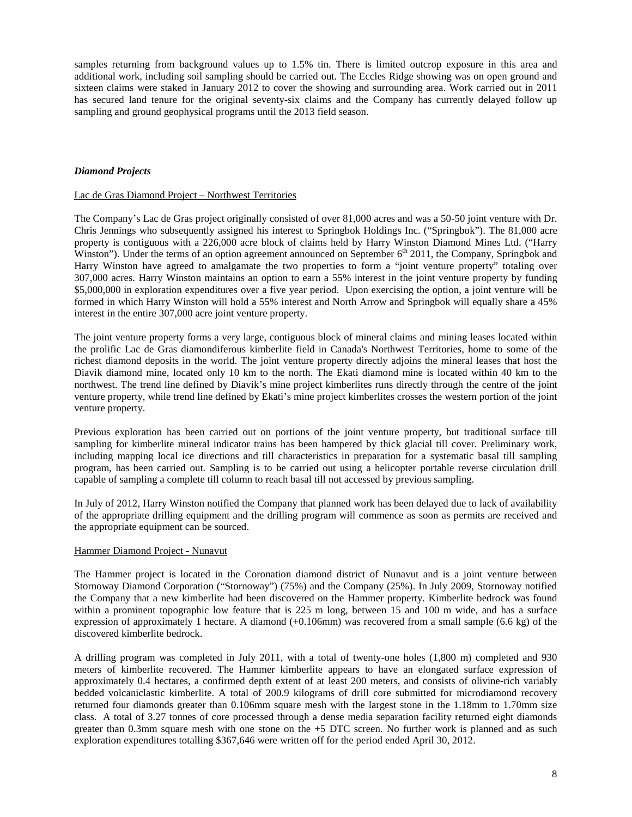samples returning from background values up to 1.5% tin. There is limited outcrop exposure in this area and additional work, including soil sampling should be carried out. The Eccles Ridge showing was on open ground and sixteen claims were staked in January 2012 to cover the showing and surrounding area. Work carried out in 2011 has secured land tenure for the original seventy-six claims and the Company has currently delayed follow up sampling and ground geophysical programs until the 2013 field season.

### *Diamond Projects*

### Lac de Gras Diamond Project – Northwest Territories

The Company's Lac de Gras project originally consisted of over 81,000 acres and was a 50-50 joint venture with Dr. Chris Jennings who subsequently assigned his interest to Springbok Holdings Inc. ("Springbok"). The 81,000 acre property is contiguous with a 226,000 acre block of claims held by Harry Winston Diamond Mines Ltd. ("Harry Winston"). Under the terms of an option agreement announced on September 6<sup>th</sup> 2011, the Company, Springbok and Harry Winston have agreed to amalgamate the two properties to form a "joint venture property" totaling over 307,000 acres. Harry Winston maintains an option to earn a 55% interest in the joint venture property by funding \$5,000,000 in exploration expenditures over a five year period. Upon exercising the option, a joint venture will be formed in which Harry Winston will hold a 55% interest and North Arrow and Springbok will equally share a 45% interest in the entire 307,000 acre joint venture property.

The joint venture property forms a very large, contiguous block of mineral claims and mining leases located within the prolific Lac de Gras diamondiferous kimberlite field in Canada's Northwest Territories, home to some of the richest diamond deposits in the world. The joint venture property directly adjoins the mineral leases that host the Diavik diamond mine, located only 10 km to the north. The Ekati diamond mine is located within 40 km to the northwest. The trend line defined by Diavik's mine project kimberlites runs directly through the centre of the joint venture property, while trend line defined by Ekati's mine project kimberlites crosses the western portion of the joint venture property.

Previous exploration has been carried out on portions of the joint venture property, but traditional surface till sampling for kimberlite mineral indicator trains has been hampered by thick glacial till cover. Preliminary work, including mapping local ice directions and till characteristics in preparation for a systematic basal till sampling program, has been carried out. Sampling is to be carried out using a helicopter portable reverse circulation drill capable of sampling a complete till column to reach basal till not accessed by previous sampling.

In July of 2012, Harry Winston notified the Company that planned work has been delayed due to lack of availability of the appropriate drilling equipment and the drilling program will commence as soon as permits are received and the appropriate equipment can be sourced.

### Hammer Diamond Project - Nunavut

The Hammer project is located in the Coronation diamond district of Nunavut and is a joint venture between Stornoway Diamond Corporation ("Stornoway") (75%) and the Company (25%). In July 2009, Stornoway notified the Company that a new kimberlite had been discovered on the Hammer property. Kimberlite bedrock was found within a prominent topographic low feature that is 225 m long, between 15 and 100 m wide, and has a surface expression of approximately 1 hectare. A diamond (+0.106mm) was recovered from a small sample (6.6 kg) of the discovered kimberlite bedrock.

A drilling program was completed in July 2011, with a total of twenty-one holes (1,800 m) completed and 930 meters of kimberlite recovered. The Hammer kimberlite appears to have an elongated surface expression of approximately 0.4 hectares, a confirmed depth extent of at least 200 meters, and consists of olivine-rich variably bedded volcaniclastic kimberlite. A total of 200.9 kilograms of drill core submitted for microdiamond recovery returned four diamonds greater than 0.106mm square mesh with the largest stone in the 1.18mm to 1.70mm size class. A total of 3.27 tonnes of core processed through a dense media separation facility returned eight diamonds greater than 0.3mm square mesh with one stone on the +5 DTC screen. No further work is planned and as such exploration expenditures totalling \$367,646 were written off for the period ended April 30, 2012.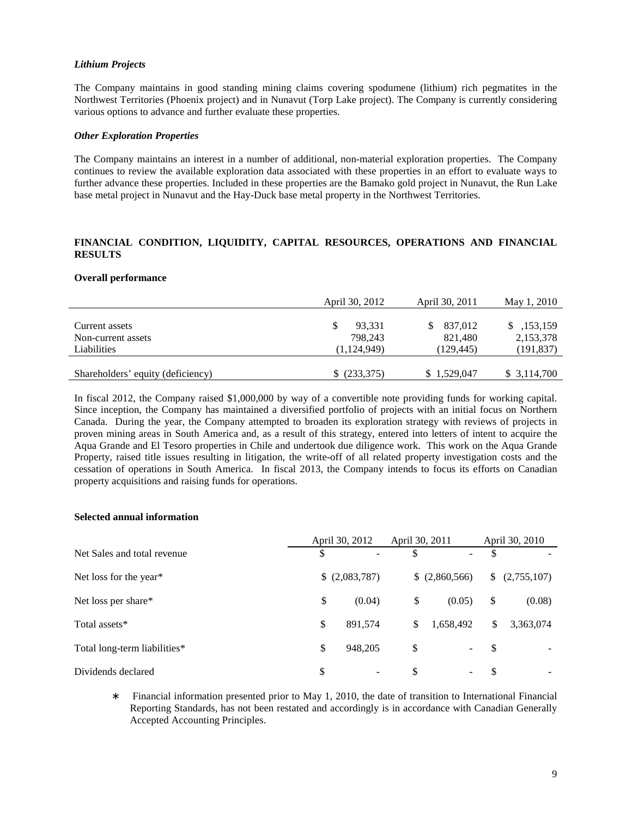### *Lithium Projects*

The Company maintains in good standing mining claims covering spodumene (lithium) rich pegmatites in the Northwest Territories (Phoenix project) and in Nunavut (Torp Lake project). The Company is currently considering various options to advance and further evaluate these properties.

### *Other Exploration Properties*

The Company maintains an interest in a number of additional, non-material exploration properties. The Company continues to review the available exploration data associated with these properties in an effort to evaluate ways to further advance these properties. Included in these properties are the Bamako gold project in Nunavut, the Run Lake base metal project in Nunavut and the Hay-Duck base metal property in the Northwest Territories.

## **FINANCIAL CONDITION, LIQUIDITY, CAPITAL RESOURCES, OPERATIONS AND FINANCIAL RESULTS**

### **Overall performance**

|                                      | April 30, 2012    | April 30, 2011     | May 1, 2010             |
|--------------------------------------|-------------------|--------------------|-------------------------|
| Current assets<br>Non-current assets | 93,331<br>798.243 | 837,012<br>821,480 | \$,153,159<br>2,153,378 |
| Liabilities                          | (1, 124, 949)     | (129.445)          | (191, 837)              |
| Shareholders' equity (deficiency)    | \$ (233,375)      | \$1,529,047        | \$ 3,114,700            |

In fiscal 2012, the Company raised \$1,000,000 by way of a convertible note providing funds for working capital. Since inception, the Company has maintained a diversified portfolio of projects with an initial focus on Northern Canada. During the year, the Company attempted to broaden its exploration strategy with reviews of projects in proven mining areas in South America and, as a result of this strategy, entered into letters of intent to acquire the Aqua Grande and El Tesoro properties in Chile and undertook due diligence work. This work on the Aqua Grande Property, raised title issues resulting in litigation, the write-off of all related property investigation costs and the cessation of operations in South America. In fiscal 2013, the Company intends to focus its efforts on Canadian property acquisitions and raising funds for operations.

### **Selected annual information**

|                              |    | April 30, 2012 | April 30, 2011 |                          |               | April 30, 2010 |
|------------------------------|----|----------------|----------------|--------------------------|---------------|----------------|
| Net Sales and total revenue  | S  |                | \$             | $\overline{\phantom{0}}$ | <sup>\$</sup> |                |
| Net loss for the year*       |    | (2,083,787)    |                | \$ (2,860,566)           |               | (2,755,107)    |
| Net loss per share*          | \$ | (0.04)         | \$             | (0.05)                   | \$            | (0.08)         |
| Total assets*                | \$ | 891,574        | \$             | 1,658,492                | \$            | 3,363,074      |
| Total long-term liabilities* | \$ | 948,205        | \$             | Ξ.                       | -S            |                |
| Dividends declared           | \$ |                | \$             | -                        | -S            | ۰              |

∗ Financial information presented prior to May 1, 2010, the date of transition to International Financial Reporting Standards, has not been restated and accordingly is in accordance with Canadian Generally Accepted Accounting Principles.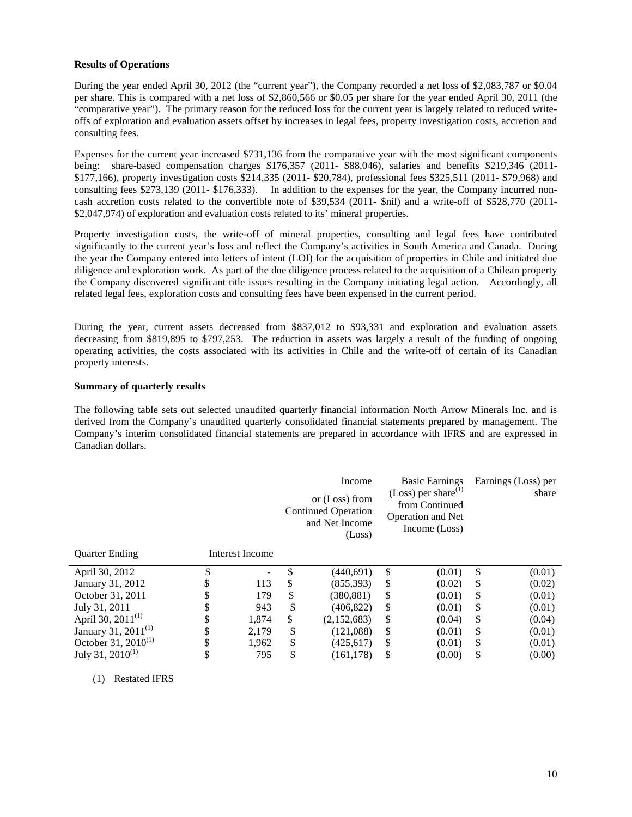### **Results of Operations**

During the year ended April 30, 2012 (the "current year"), the Company recorded a net loss of \$2,083,787 or \$0.04 per share. This is compared with a net loss of \$2,860,566 or \$0.05 per share for the year ended April 30, 2011 (the "comparative year"). The primary reason for the reduced loss for the current year is largely related to reduced writeoffs of exploration and evaluation assets offset by increases in legal fees, property investigation costs, accretion and consulting fees.

Expenses for the current year increased \$731,136 from the comparative year with the most significant components being: share-based compensation charges \$176,357 (2011- \$88,046), salaries and benefits \$219,346 (2011- \$177,166), property investigation costs \$214,335 (2011- \$20,784), professional fees \$325,511 (2011- \$79,968) and consulting fees \$273,139 (2011- \$176,333). In addition to the expenses for the year, the Company incurred noncash accretion costs related to the convertible note of \$39,534 (2011- \$nil) and a write-off of \$528,770 (2011- \$2,047,974) of exploration and evaluation costs related to its' mineral properties.

Property investigation costs, the write-off of mineral properties, consulting and legal fees have contributed significantly to the current year's loss and reflect the Company's activities in South America and Canada. During the year the Company entered into letters of intent (LOI) for the acquisition of properties in Chile and initiated due diligence and exploration work. As part of the due diligence process related to the acquisition of a Chilean property the Company discovered significant title issues resulting in the Company initiating legal action. Accordingly, all related legal fees, exploration costs and consulting fees have been expensed in the current period.

During the year, current assets decreased from \$837,012 to \$93,331 and exploration and evaluation assets decreasing from \$819,895 to \$797,253. The reduction in assets was largely a result of the funding of ongoing operating activities, the costs associated with its activities in Chile and the write-off of certain of its Canadian property interests.

### **Summary of quarterly results**

The following table sets out selected unaudited quarterly financial information North Arrow Minerals Inc. and is derived from the Company's unaudited quarterly consolidated financial statements prepared by management. The Company's interim consolidated financial statements are prepared in accordance with IFRS and are expressed in Canadian dollars.

|                                 |                 | Income<br>or (Loss) from<br><b>Continued Operation</b><br>and Net Income<br>(Loss) |    | <b>Basic Earnings</b><br>(Loss) per share $^{(1)}$<br>from Continued<br><b>Operation and Net</b><br>Income (Loss) | Earnings (Loss) per<br>share |
|---------------------------------|-----------------|------------------------------------------------------------------------------------|----|-------------------------------------------------------------------------------------------------------------------|------------------------------|
| <b>Quarter Ending</b>           | Interest Income |                                                                                    |    |                                                                                                                   |                              |
| April 30, 2012                  | \$              | \$<br>(440,691)                                                                    | \$ | (0.01)                                                                                                            | \$<br>(0.01)                 |
| January 31, 2012                | \$<br>113       | \$<br>(855, 393)                                                                   | \$ | (0.02)                                                                                                            | \$<br>(0.02)                 |
| October 31, 2011                | \$<br>179       | \$<br>(380, 881)                                                                   | \$ | (0.01)                                                                                                            | \$<br>(0.01)                 |
| July 31, 2011                   | \$<br>943       | \$<br>(406, 822)                                                                   | \$ | (0.01)                                                                                                            | \$<br>(0.01)                 |
| April 30, $2011^{(1)}$          | \$<br>1,874     | \$<br>(2,152,683)                                                                  | \$ | (0.04)                                                                                                            | \$<br>(0.04)                 |
| January 31, 2011 <sup>(1)</sup> | \$<br>2,179     | \$<br>(121,088)                                                                    | \$ | (0.01)                                                                                                            | \$<br>(0.01)                 |
| October 31, $2010^{(1)}$        | \$<br>1,962     | \$<br>(425, 617)                                                                   | \$ | (0.01)                                                                                                            | \$<br>(0.01)                 |
| July 31, $2010^{(1)}$           | 795             | \$<br>(161, 178)                                                                   | \$ | (0.00)                                                                                                            | \$<br>(0.00)                 |

(1) Restated IFRS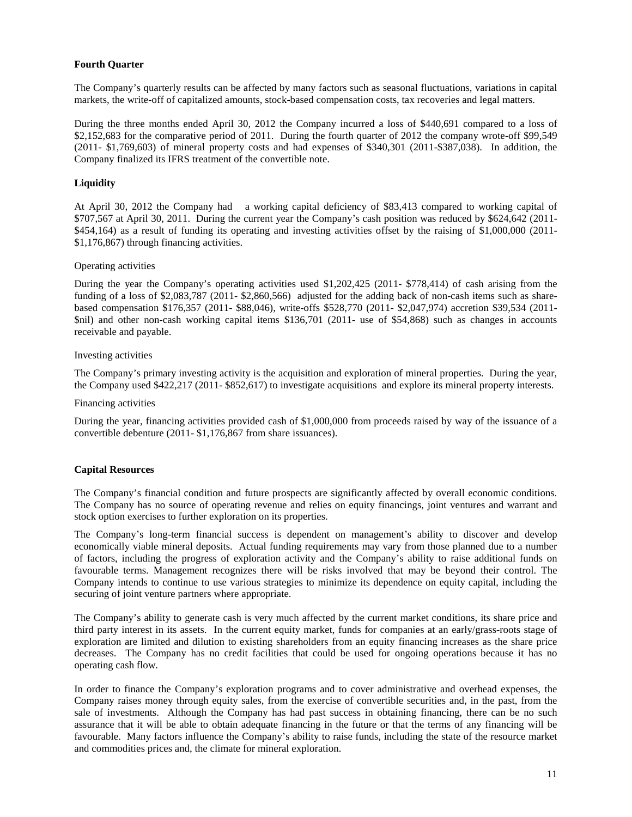### **Fourth Quarter**

The Company's quarterly results can be affected by many factors such as seasonal fluctuations, variations in capital markets, the write-off of capitalized amounts, stock-based compensation costs, tax recoveries and legal matters.

During the three months ended April 30, 2012 the Company incurred a loss of \$440,691 compared to a loss of \$2,152,683 for the comparative period of 2011. During the fourth quarter of 2012 the company wrote-off \$99,549 (2011- \$1,769,603) of mineral property costs and had expenses of \$340,301 (2011-\$387,038). In addition, the Company finalized its IFRS treatment of the convertible note.

### **Liquidity**

At April 30, 2012 the Company had a working capital deficiency of \$83,413 compared to working capital of \$707,567 at April 30, 2011. During the current year the Company's cash position was reduced by \$624,642 (2011- \$454,164) as a result of funding its operating and investing activities offset by the raising of \$1,000,000 (2011- \$1,176,867) through financing activities.

# Operating activities

During the year the Company's operating activities used \$1,202,425 (2011- \$778,414) of cash arising from the funding of a loss of \$2,083,787 (2011- \$2,860,566) adjusted for the adding back of non-cash items such as sharebased compensation \$176,357 (2011- \$88,046), write-offs \$528,770 (2011- \$2,047,974) accretion \$39,534 (2011- \$nil) and other non-cash working capital items \$136,701 (2011- use of \$54,868) such as changes in accounts receivable and payable.

### Investing activities

The Company's primary investing activity is the acquisition and exploration of mineral properties. During the year, the Company used \$422,217 (2011- \$852,617) to investigate acquisitions and explore its mineral property interests.

#### Financing activities

During the year, financing activities provided cash of \$1,000,000 from proceeds raised by way of the issuance of a convertible debenture (2011- \$1,176,867 from share issuances).

### **Capital Resources**

The Company's financial condition and future prospects are significantly affected by overall economic conditions. The Company has no source of operating revenue and relies on equity financings, joint ventures and warrant and stock option exercises to further exploration on its properties.

The Company's long-term financial success is dependent on management's ability to discover and develop economically viable mineral deposits. Actual funding requirements may vary from those planned due to a number of factors, including the progress of exploration activity and the Company's ability to raise additional funds on favourable terms. Management recognizes there will be risks involved that may be beyond their control. The Company intends to continue to use various strategies to minimize its dependence on equity capital, including the securing of joint venture partners where appropriate.

The Company's ability to generate cash is very much affected by the current market conditions, its share price and third party interest in its assets. In the current equity market, funds for companies at an early/grass-roots stage of exploration are limited and dilution to existing shareholders from an equity financing increases as the share price decreases. The Company has no credit facilities that could be used for ongoing operations because it has no operating cash flow.

In order to finance the Company's exploration programs and to cover administrative and overhead expenses, the Company raises money through equity sales, from the exercise of convertible securities and, in the past, from the sale of investments. Although the Company has had past success in obtaining financing, there can be no such assurance that it will be able to obtain adequate financing in the future or that the terms of any financing will be favourable. Many factors influence the Company's ability to raise funds, including the state of the resource market and commodities prices and, the climate for mineral exploration.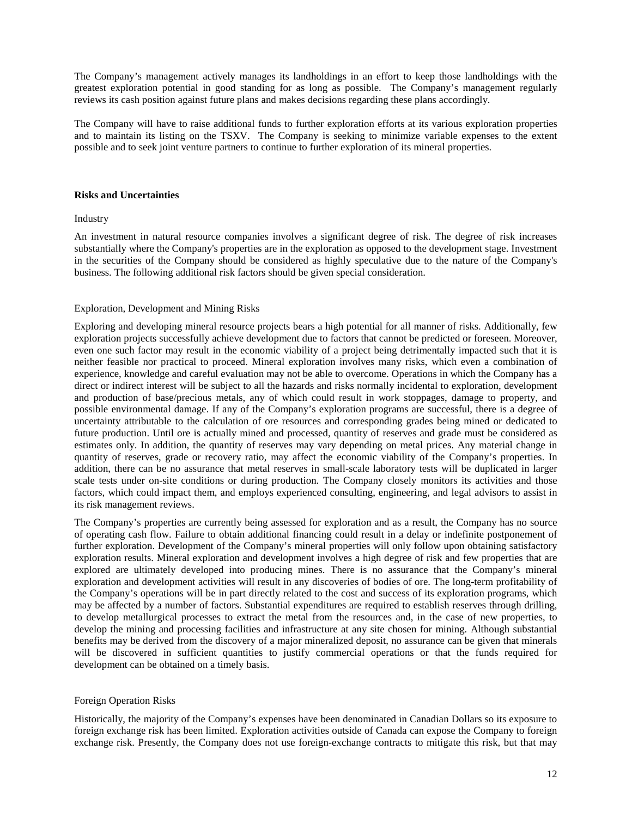The Company's management actively manages its landholdings in an effort to keep those landholdings with the greatest exploration potential in good standing for as long as possible. The Company's management regularly reviews its cash position against future plans and makes decisions regarding these plans accordingly.

The Company will have to raise additional funds to further exploration efforts at its various exploration properties and to maintain its listing on the TSXV. The Company is seeking to minimize variable expenses to the extent possible and to seek joint venture partners to continue to further exploration of its mineral properties.

### **Risks and Uncertainties**

### Industry

An investment in natural resource companies involves a significant degree of risk. The degree of risk increases substantially where the Company's properties are in the exploration as opposed to the development stage. Investment in the securities of the Company should be considered as highly speculative due to the nature of the Company's business. The following additional risk factors should be given special consideration.

### Exploration, Development and Mining Risks

Exploring and developing mineral resource projects bears a high potential for all manner of risks. Additionally, few exploration projects successfully achieve development due to factors that cannot be predicted or foreseen. Moreover, even one such factor may result in the economic viability of a project being detrimentally impacted such that it is neither feasible nor practical to proceed. Mineral exploration involves many risks, which even a combination of experience, knowledge and careful evaluation may not be able to overcome. Operations in which the Company has a direct or indirect interest will be subject to all the hazards and risks normally incidental to exploration, development and production of base/precious metals, any of which could result in work stoppages, damage to property, and possible environmental damage. If any of the Company's exploration programs are successful, there is a degree of uncertainty attributable to the calculation of ore resources and corresponding grades being mined or dedicated to future production. Until ore is actually mined and processed, quantity of reserves and grade must be considered as estimates only. In addition, the quantity of reserves may vary depending on metal prices. Any material change in quantity of reserves, grade or recovery ratio, may affect the economic viability of the Company's properties. In addition, there can be no assurance that metal reserves in small-scale laboratory tests will be duplicated in larger scale tests under on-site conditions or during production. The Company closely monitors its activities and those factors, which could impact them, and employs experienced consulting, engineering, and legal advisors to assist in its risk management reviews.

The Company's properties are currently being assessed for exploration and as a result, the Company has no source of operating cash flow. Failure to obtain additional financing could result in a delay or indefinite postponement of further exploration. Development of the Company's mineral properties will only follow upon obtaining satisfactory exploration results. Mineral exploration and development involves a high degree of risk and few properties that are explored are ultimately developed into producing mines. There is no assurance that the Company's mineral exploration and development activities will result in any discoveries of bodies of ore. The long-term profitability of the Company's operations will be in part directly related to the cost and success of its exploration programs, which may be affected by a number of factors. Substantial expenditures are required to establish reserves through drilling, to develop metallurgical processes to extract the metal from the resources and, in the case of new properties, to develop the mining and processing facilities and infrastructure at any site chosen for mining. Although substantial benefits may be derived from the discovery of a major mineralized deposit, no assurance can be given that minerals will be discovered in sufficient quantities to justify commercial operations or that the funds required for development can be obtained on a timely basis.

### Foreign Operation Risks

Historically, the majority of the Company's expenses have been denominated in Canadian Dollars so its exposure to foreign exchange risk has been limited. Exploration activities outside of Canada can expose the Company to foreign exchange risk. Presently, the Company does not use foreign-exchange contracts to mitigate this risk, but that may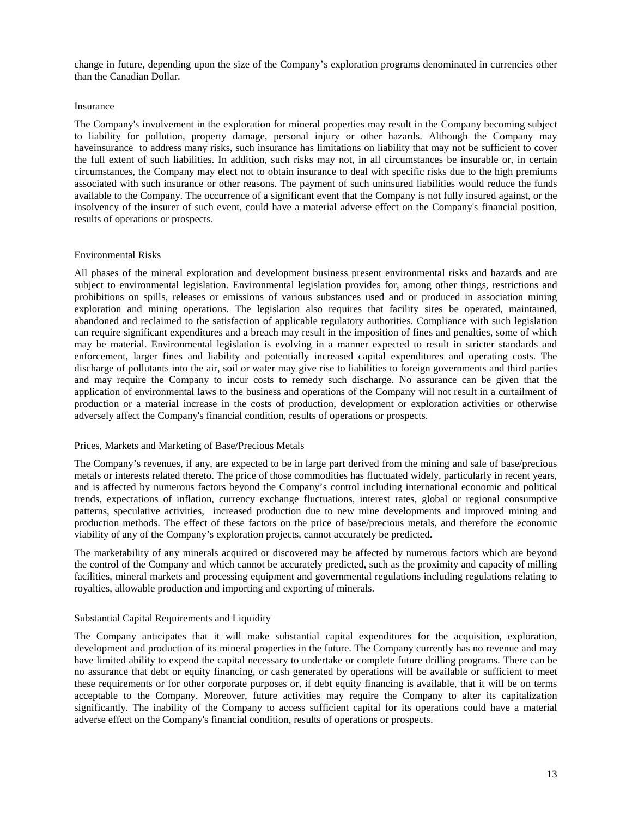change in future, depending upon the size of the Company's exploration programs denominated in currencies other than the Canadian Dollar.

### Insurance

The Company's involvement in the exploration for mineral properties may result in the Company becoming subject to liability for pollution, property damage, personal injury or other hazards. Although the Company may haveinsurance to address many risks, such insurance has limitations on liability that may not be sufficient to cover the full extent of such liabilities. In addition, such risks may not, in all circumstances be insurable or, in certain circumstances, the Company may elect not to obtain insurance to deal with specific risks due to the high premiums associated with such insurance or other reasons. The payment of such uninsured liabilities would reduce the funds available to the Company. The occurrence of a significant event that the Company is not fully insured against, or the insolvency of the insurer of such event, could have a material adverse effect on the Company's financial position, results of operations or prospects.

### Environmental Risks

All phases of the mineral exploration and development business present environmental risks and hazards and are subject to environmental legislation. Environmental legislation provides for, among other things, restrictions and prohibitions on spills, releases or emissions of various substances used and or produced in association mining exploration and mining operations. The legislation also requires that facility sites be operated, maintained, abandoned and reclaimed to the satisfaction of applicable regulatory authorities. Compliance with such legislation can require significant expenditures and a breach may result in the imposition of fines and penalties, some of which may be material. Environmental legislation is evolving in a manner expected to result in stricter standards and enforcement, larger fines and liability and potentially increased capital expenditures and operating costs. The discharge of pollutants into the air, soil or water may give rise to liabilities to foreign governments and third parties and may require the Company to incur costs to remedy such discharge. No assurance can be given that the application of environmental laws to the business and operations of the Company will not result in a curtailment of production or a material increase in the costs of production, development or exploration activities or otherwise adversely affect the Company's financial condition, results of operations or prospects.

### Prices, Markets and Marketing of Base/Precious Metals

The Company's revenues, if any, are expected to be in large part derived from the mining and sale of base/precious metals or interests related thereto. The price of those commodities has fluctuated widely, particularly in recent years, and is affected by numerous factors beyond the Company's control including international economic and political trends, expectations of inflation, currency exchange fluctuations, interest rates, global or regional consumptive patterns, speculative activities, increased production due to new mine developments and improved mining and production methods. The effect of these factors on the price of base/precious metals, and therefore the economic viability of any of the Company's exploration projects, cannot accurately be predicted.

The marketability of any minerals acquired or discovered may be affected by numerous factors which are beyond the control of the Company and which cannot be accurately predicted, such as the proximity and capacity of milling facilities, mineral markets and processing equipment and governmental regulations including regulations relating to royalties, allowable production and importing and exporting of minerals.

### Substantial Capital Requirements and Liquidity

The Company anticipates that it will make substantial capital expenditures for the acquisition, exploration, development and production of its mineral properties in the future. The Company currently has no revenue and may have limited ability to expend the capital necessary to undertake or complete future drilling programs. There can be no assurance that debt or equity financing, or cash generated by operations will be available or sufficient to meet these requirements or for other corporate purposes or, if debt equity financing is available, that it will be on terms acceptable to the Company. Moreover, future activities may require the Company to alter its capitalization significantly. The inability of the Company to access sufficient capital for its operations could have a material adverse effect on the Company's financial condition, results of operations or prospects.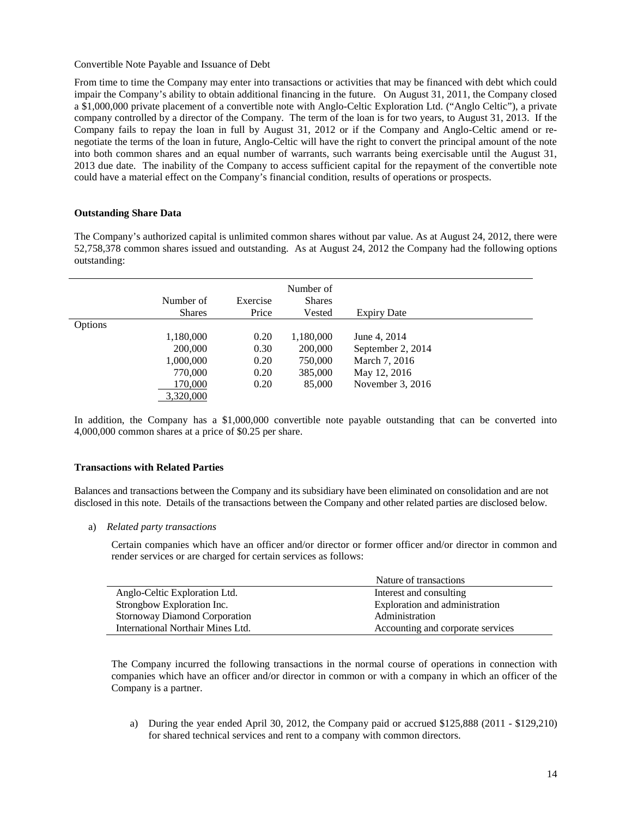Convertible Note Payable and Issuance of Debt

From time to time the Company may enter into transactions or activities that may be financed with debt which could impair the Company's ability to obtain additional financing in the future. On August 31, 2011, the Company closed a \$1,000,000 private placement of a convertible note with Anglo-Celtic Exploration Ltd. ("Anglo Celtic"), a private company controlled by a director of the Company. The term of the loan is for two years, to August 31, 2013. If the Company fails to repay the loan in full by August 31, 2012 or if the Company and Anglo-Celtic amend or renegotiate the terms of the loan in future, Anglo-Celtic will have the right to convert the principal amount of the note into both common shares and an equal number of warrants, such warrants being exercisable until the August 31, 2013 due date. The inability of the Company to access sufficient capital for the repayment of the convertible note could have a material effect on the Company's financial condition, results of operations or prospects.

# **Outstanding Share Data**

The Company's authorized capital is unlimited common shares without par value. As at August 24, 2012, there were 52,758,378 common shares issued and outstanding. As at August 24, 2012 the Company had the following options outstanding:

|         | Number of<br><b>Shares</b> | Exercise<br>Price | Number of<br><b>Shares</b><br>Vested | <b>Expiry Date</b> |  |
|---------|----------------------------|-------------------|--------------------------------------|--------------------|--|
| Options |                            |                   |                                      |                    |  |
|         | 1,180,000                  | 0.20              | 1,180,000                            | June 4, 2014       |  |
|         | 200,000                    | 0.30              | 200,000                              | September 2, 2014  |  |
|         | 1,000,000                  | 0.20              | 750,000                              | March 7, 2016      |  |
|         | 770,000                    | 0.20              | 385,000                              | May 12, 2016       |  |
|         | 170,000                    | 0.20              | 85,000                               | November 3, 2016   |  |
|         | 3,320,000                  |                   |                                      |                    |  |

In addition, the Company has a \$1,000,000 convertible note payable outstanding that can be converted into 4,000,000 common shares at a price of \$0.25 per share.

### **Transactions with Related Parties**

Balances and transactions between the Company and its subsidiary have been eliminated on consolidation and are not disclosed in this note. Details of the transactions between the Company and other related parties are disclosed below.

a) *Related party transactions* 

Certain companies which have an officer and/or director or former officer and/or director in common and render services or are charged for certain services as follows:

|                                      | Nature of transactions            |
|--------------------------------------|-----------------------------------|
| Anglo-Celtic Exploration Ltd.        | Interest and consulting           |
| Strongbow Exploration Inc.           | Exploration and administration    |
| <b>Stornoway Diamond Corporation</b> | Administration                    |
| International Northair Mines Ltd.    | Accounting and corporate services |

The Company incurred the following transactions in the normal course of operations in connection with companies which have an officer and/or director in common or with a company in which an officer of the Company is a partner.

a) During the year ended April 30, 2012, the Company paid or accrued \$125,888 (2011 - \$129,210) for shared technical services and rent to a company with common directors.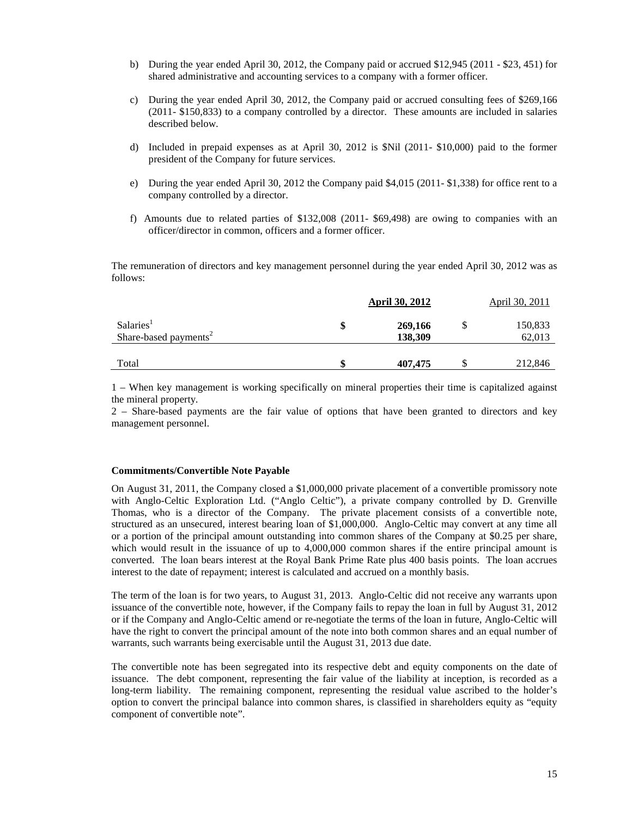- b) During the year ended April 30, 2012, the Company paid or accrued \$12,945 (2011 \$23, 451) for shared administrative and accounting services to a company with a former officer.
- c) During the year ended April 30, 2012, the Company paid or accrued consulting fees of \$269,166 (2011- \$150,833) to a company controlled by a director. These amounts are included in salaries described below.
- d) Included in prepaid expenses as at April 30, 2012 is \$Nil (2011- \$10,000) paid to the former president of the Company for future services.
- e) During the year ended April 30, 2012 the Company paid \$4,015 (2011- \$1,338) for office rent to a company controlled by a director.
- f) Amounts due to related parties of \$132,008 (2011- \$69,498) are owing to companies with an officer/director in common, officers and a former officer.

 The remuneration of directors and key management personnel during the year ended April 30, 2012 was as follows:

|                                                            | <b>April 30, 2012</b>    | April 30, 2011    |
|------------------------------------------------------------|--------------------------|-------------------|
| Salaries <sup>1</sup><br>Share-based payments <sup>2</sup> | \$<br>269,166<br>138,309 | 150,833<br>62,013 |
| Total                                                      | \$<br>407,475            | 212,846           |

1 – When key management is working specifically on mineral properties their time is capitalized against the mineral property.

2 – Share-based payments are the fair value of options that have been granted to directors and key management personnel.

### **Commitments/Convertible Note Payable**

On August 31, 2011, the Company closed a \$1,000,000 private placement of a convertible promissory note with Anglo-Celtic Exploration Ltd. ("Anglo Celtic"), a private company controlled by D. Grenville Thomas, who is a director of the Company. The private placement consists of a convertible note, structured as an unsecured, interest bearing loan of \$1,000,000. Anglo-Celtic may convert at any time all or a portion of the principal amount outstanding into common shares of the Company at \$0.25 per share, which would result in the issuance of up to 4,000,000 common shares if the entire principal amount is converted. The loan bears interest at the Royal Bank Prime Rate plus 400 basis points. The loan accrues interest to the date of repayment; interest is calculated and accrued on a monthly basis.

The term of the loan is for two years, to August 31, 2013. Anglo-Celtic did not receive any warrants upon issuance of the convertible note, however, if the Company fails to repay the loan in full by August 31, 2012 or if the Company and Anglo-Celtic amend or re-negotiate the terms of the loan in future, Anglo-Celtic will have the right to convert the principal amount of the note into both common shares and an equal number of warrants, such warrants being exercisable until the August 31, 2013 due date.

The convertible note has been segregated into its respective debt and equity components on the date of issuance. The debt component, representing the fair value of the liability at inception, is recorded as a long-term liability. The remaining component, representing the residual value ascribed to the holder's option to convert the principal balance into common shares, is classified in shareholders equity as "equity component of convertible note".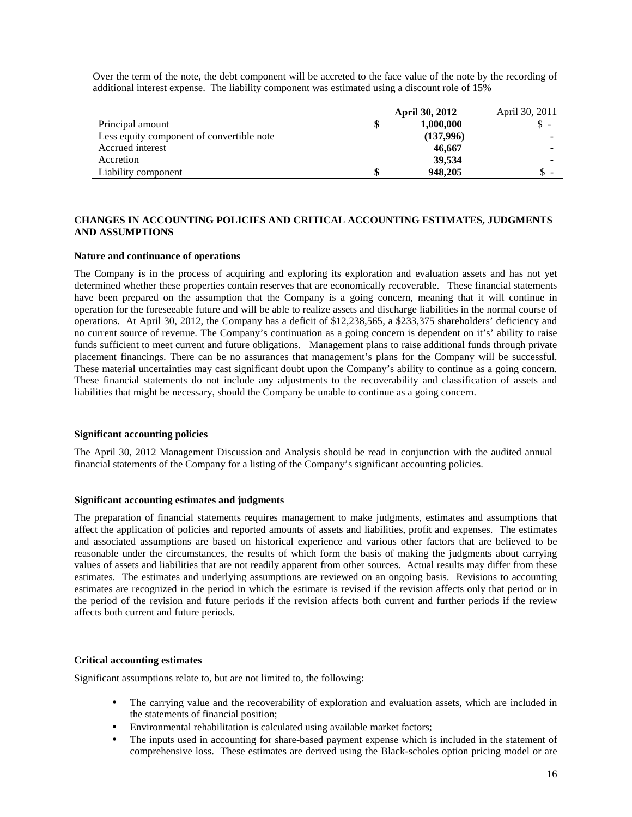Over the term of the note, the debt component will be accreted to the face value of the note by the recording of additional interest expense. The liability component was estimated using a discount role of 15%

|                                           |  | April 30, 2011 |    |
|-------------------------------------------|--|----------------|----|
| Principal amount                          |  | 1,000,000      | J. |
| Less equity component of convertible note |  | (137,996)      |    |
| Accrued interest                          |  | 46,667         |    |
| Accretion                                 |  | 39.534         |    |
| Liability component                       |  | 948,205        | -  |

### **CHANGES IN ACCOUNTING POLICIES AND CRITICAL ACCOUNTING ESTIMATES, JUDGMENTS AND ASSUMPTIONS**

### **Nature and continuance of operations**

The Company is in the process of acquiring and exploring its exploration and evaluation assets and has not yet determined whether these properties contain reserves that are economically recoverable. These financial statements have been prepared on the assumption that the Company is a going concern, meaning that it will continue in operation for the foreseeable future and will be able to realize assets and discharge liabilities in the normal course of operations. At April 30, 2012, the Company has a deficit of \$12,238,565, a \$233,375 shareholders' deficiency and no current source of revenue. The Company's continuation as a going concern is dependent on it's' ability to raise funds sufficient to meet current and future obligations. Management plans to raise additional funds through private placement financings. There can be no assurances that management's plans for the Company will be successful. These material uncertainties may cast significant doubt upon the Company's ability to continue as a going concern. These financial statements do not include any adjustments to the recoverability and classification of assets and liabilities that might be necessary, should the Company be unable to continue as a going concern.

### **Significant accounting policies**

The April 30, 2012 Management Discussion and Analysis should be read in conjunction with the audited annual financial statements of the Company for a listing of the Company's significant accounting policies.

### **Significant accounting estimates and judgments**

The preparation of financial statements requires management to make judgments, estimates and assumptions that affect the application of policies and reported amounts of assets and liabilities, profit and expenses. The estimates and associated assumptions are based on historical experience and various other factors that are believed to be reasonable under the circumstances, the results of which form the basis of making the judgments about carrying values of assets and liabilities that are not readily apparent from other sources. Actual results may differ from these estimates. The estimates and underlying assumptions are reviewed on an ongoing basis. Revisions to accounting estimates are recognized in the period in which the estimate is revised if the revision affects only that period or in the period of the revision and future periods if the revision affects both current and further periods if the review affects both current and future periods.

### **Critical accounting estimates**

Significant assumptions relate to, but are not limited to, the following:

- The carrying value and the recoverability of exploration and evaluation assets, which are included in the statements of financial position;
- Environmental rehabilitation is calculated using available market factors;
- The inputs used in accounting for share-based payment expense which is included in the statement of comprehensive loss. These estimates are derived using the Black-scholes option pricing model or are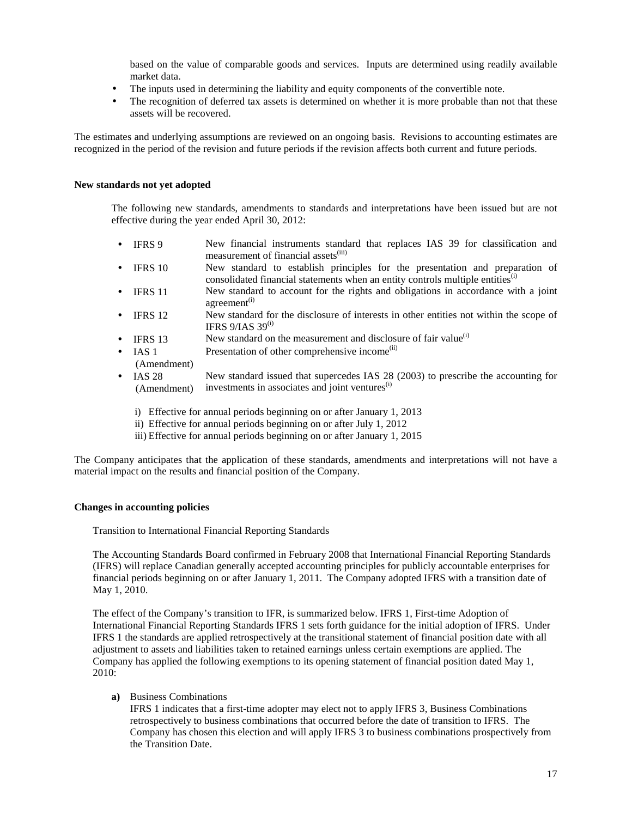based on the value of comparable goods and services. Inputs are determined using readily available market data.

- The inputs used in determining the liability and equity components of the convertible note.
- The recognition of deferred tax assets is determined on whether it is more probable than not that these assets will be recovered.

The estimates and underlying assumptions are reviewed on an ongoing basis. Revisions to accounting estimates are recognized in the period of the revision and future periods if the revision affects both current and future periods.

### **New standards not yet adopted**

The following new standards, amendments to standards and interpretations have been issued but are not effective during the year ended April 30, 2012:

- IFRS 9 New financial instruments standard that replaces IAS 39 for classification and measurement of financial assets<sup>(iii)</sup>
- IFRS 10 New standard to establish principles for the presentation and preparation of consolidated financial statements when an entity controls multiple entities $<sup>(i)</sup>$ </sup>
- IFRS 11 New standard to account for the rights and obligations in accordance with a joint agreement<sup>(i)</sup>
- IFRS 12 New standard for the disclosure of interests in other entities not within the scope of IFRS  $9/IAS$  39<sup>(1)</sup>
- IFRS 13 New standard on the measurement and disclosure of fair value<sup>(i)</sup>
- IAS 1 Presentation of other comprehensive income<sup>(ii)</sup>
- (Amendment)
- IAS 28 (Amendment) New standard issued that supercedes IAS 28 (2003) to prescribe the accounting for investments in associates and joint ventures $($ i)
	- i) Effective for annual periods beginning on or after January 1, 2013
	- ii) Effective for annual periods beginning on or after July 1, 2012
	- iii) Effective for annual periods beginning on or after January 1, 2015

The Company anticipates that the application of these standards, amendments and interpretations will not have a material impact on the results and financial position of the Company.

### **Changes in accounting policies**

Transition to International Financial Reporting Standards

The Accounting Standards Board confirmed in February 2008 that International Financial Reporting Standards (IFRS) will replace Canadian generally accepted accounting principles for publicly accountable enterprises for financial periods beginning on or after January 1, 2011. The Company adopted IFRS with a transition date of May 1, 2010.

The effect of the Company's transition to IFR, is summarized below. IFRS 1, First-time Adoption of International Financial Reporting Standards IFRS 1 sets forth guidance for the initial adoption of IFRS. Under IFRS 1 the standards are applied retrospectively at the transitional statement of financial position date with all adjustment to assets and liabilities taken to retained earnings unless certain exemptions are applied. The Company has applied the following exemptions to its opening statement of financial position dated May 1, 2010:

### **a)** Business Combinations

IFRS 1 indicates that a first-time adopter may elect not to apply IFRS 3, Business Combinations retrospectively to business combinations that occurred before the date of transition to IFRS. The Company has chosen this election and will apply IFRS 3 to business combinations prospectively from the Transition Date.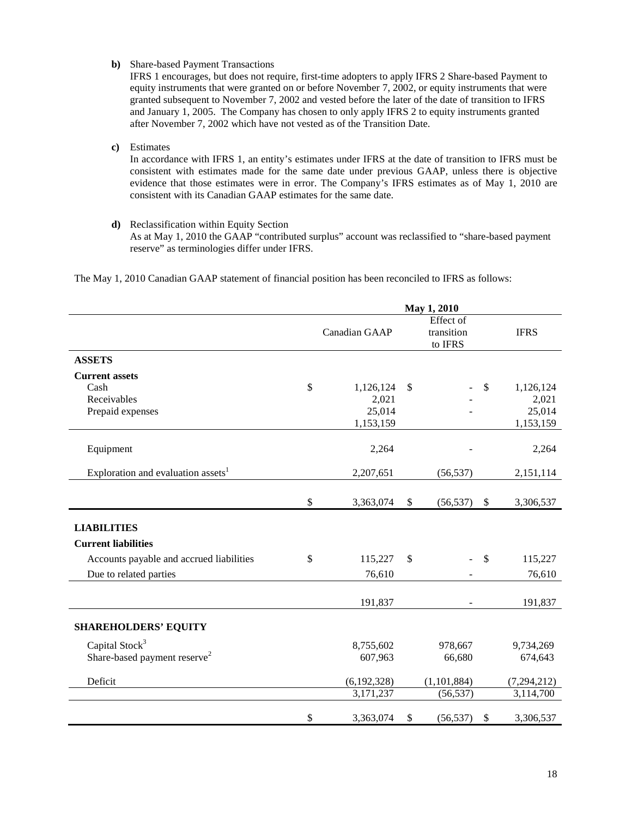**b)** Share-based Payment Transactions

IFRS 1 encourages, but does not require, first-time adopters to apply IFRS 2 Share-based Payment to equity instruments that were granted on or before November 7, 2002, or equity instruments that were granted subsequent to November 7, 2002 and vested before the later of the date of transition to IFRS and January 1, 2005. The Company has chosen to only apply IFRS 2 to equity instruments granted after November 7, 2002 which have not vested as of the Transition Date.

**c)** Estimates

In accordance with IFRS 1, an entity's estimates under IFRS at the date of transition to IFRS must be consistent with estimates made for the same date under previous GAAP, unless there is objective evidence that those estimates were in error. The Company's IFRS estimates as of May 1, 2010 are consistent with its Canadian GAAP estimates for the same date.

**d)** Reclassification within Equity Section As at May 1, 2010 the GAAP "contributed surplus" account was reclassified to "share-based payment reserve" as terminologies differ under IFRS.

The May 1, 2010 Canadian GAAP statement of financial position has been reconciled to IFRS as follows:

|                                                | May 1, 2010     |               |                                    |               |               |
|------------------------------------------------|-----------------|---------------|------------------------------------|---------------|---------------|
|                                                | Canadian GAAP   |               | Effect of<br>transition<br>to IFRS |               | <b>IFRS</b>   |
| <b>ASSETS</b>                                  |                 |               |                                    |               |               |
| <b>Current assets</b>                          |                 |               |                                    |               |               |
| Cash                                           | \$<br>1,126,124 | <sup>\$</sup> |                                    | $\mathbb{S}$  | 1,126,124     |
| Receivables                                    | 2,021           |               |                                    |               | 2,021         |
| Prepaid expenses                               | 25,014          |               |                                    |               | 25,014        |
|                                                | 1,153,159       |               |                                    |               | 1,153,159     |
| Equipment                                      | 2,264           |               |                                    |               | 2,264         |
| Exploration and evaluation assets <sup>1</sup> | 2,207,651       |               | (56, 537)                          |               | 2,151,114     |
|                                                |                 |               |                                    |               |               |
|                                                | \$<br>3,363,074 | \$            | (56, 537)                          | $\sqrt$       | 3,306,537     |
| <b>LIABILITIES</b>                             |                 |               |                                    |               |               |
| <b>Current liabilities</b>                     |                 |               |                                    |               |               |
| Accounts payable and accrued liabilities       | \$<br>115,227   | $\mathcal{S}$ |                                    | $\mathcal{S}$ | 115,227       |
| Due to related parties                         | 76,610          |               |                                    |               | 76,610        |
|                                                | 191,837         |               |                                    |               | 191,837       |
| <b>SHAREHOLDERS' EQUITY</b>                    |                 |               |                                    |               |               |
| Capital Stock <sup>3</sup>                     | 8,755,602       |               | 978,667                            |               | 9,734,269     |
| Share-based payment reserve <sup>2</sup>       | 607,963         |               | 66,680                             |               | 674,643       |
| Deficit                                        | (6,192,328)     |               | (1, 101, 884)                      |               | (7, 294, 212) |
|                                                | 3,171,237       |               | (56, 537)                          |               | 3,114,700     |
|                                                | \$<br>3,363,074 | \$            | (56, 537)                          | \$            | 3,306,537     |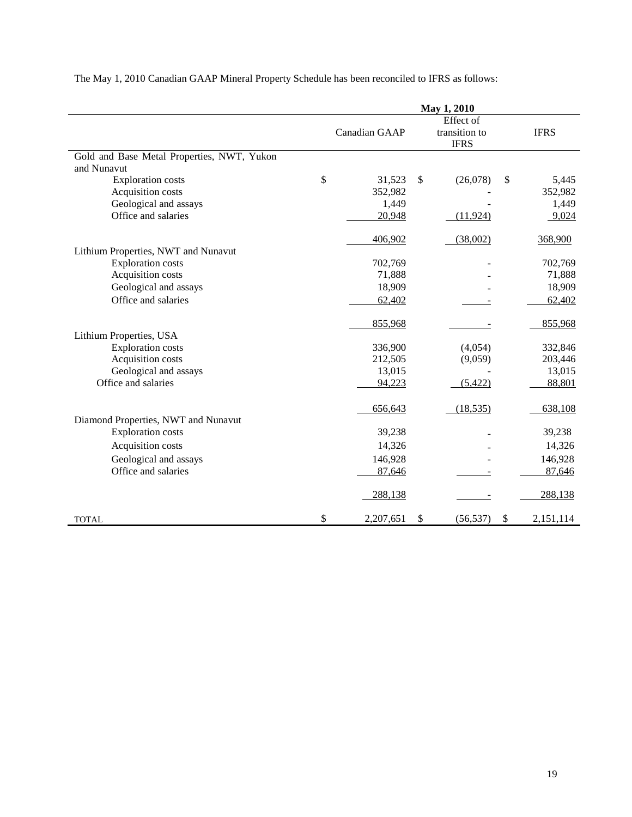|                                            | May 1, 2010 |               |    |                              |      |             |
|--------------------------------------------|-------------|---------------|----|------------------------------|------|-------------|
|                                            |             |               |    | Effect of                    |      |             |
|                                            |             | Canadian GAAP |    | transition to<br><b>IFRS</b> |      | <b>IFRS</b> |
| Gold and Base Metal Properties, NWT, Yukon |             |               |    |                              |      |             |
| and Nunavut                                |             |               |    |                              |      |             |
| <b>Exploration costs</b>                   | \$          | 31,523        | \$ | (26,078)                     | \$   | 5,445       |
| Acquisition costs                          |             | 352,982       |    |                              |      | 352,982     |
| Geological and assays                      |             | 1,449         |    |                              |      | 1,449       |
| Office and salaries                        |             | 20,948        |    | (11, 924)                    |      | 9,024       |
|                                            |             | 406,902       |    | (38,002)                     |      | 368,900     |
| Lithium Properties, NWT and Nunavut        |             |               |    |                              |      |             |
| <b>Exploration costs</b>                   |             | 702,769       |    |                              |      | 702,769     |
| Acquisition costs                          |             | 71,888        |    |                              |      | 71,888      |
| Geological and assays                      |             | 18,909        |    |                              |      | 18,909      |
| Office and salaries                        |             | 62,402        |    |                              |      | 62,402      |
|                                            |             | 855,968       |    |                              |      | 855,968     |
| Lithium Properties, USA                    |             |               |    |                              |      |             |
| <b>Exploration costs</b>                   |             | 336,900       |    | (4,054)                      |      | 332,846     |
| Acquisition costs                          |             | 212,505       |    | (9,059)                      |      | 203,446     |
| Geological and assays                      |             | 13,015        |    |                              |      | 13,015      |
| Office and salaries                        |             | 94,223        |    | (5,422)                      |      | 88,801      |
|                                            |             | 656,643       |    | (18, 535)                    |      | 638,108     |
| Diamond Properties, NWT and Nunavut        |             |               |    |                              |      |             |
| <b>Exploration</b> costs                   |             | 39,238        |    |                              |      | 39,238      |
| Acquisition costs                          |             | 14,326        |    |                              |      | 14,326      |
| Geological and assays                      |             | 146,928       |    |                              |      | 146,928     |
| Office and salaries                        |             | 87,646        |    |                              |      | 87,646      |
|                                            |             | 288,138       |    |                              |      | 288,138     |
| <b>TOTAL</b>                               | \$          | 2,207,651     | \$ | (56, 537)                    | $\$$ | 2,151,114   |

The May 1, 2010 Canadian GAAP Mineral Property Schedule has been reconciled to IFRS as follows: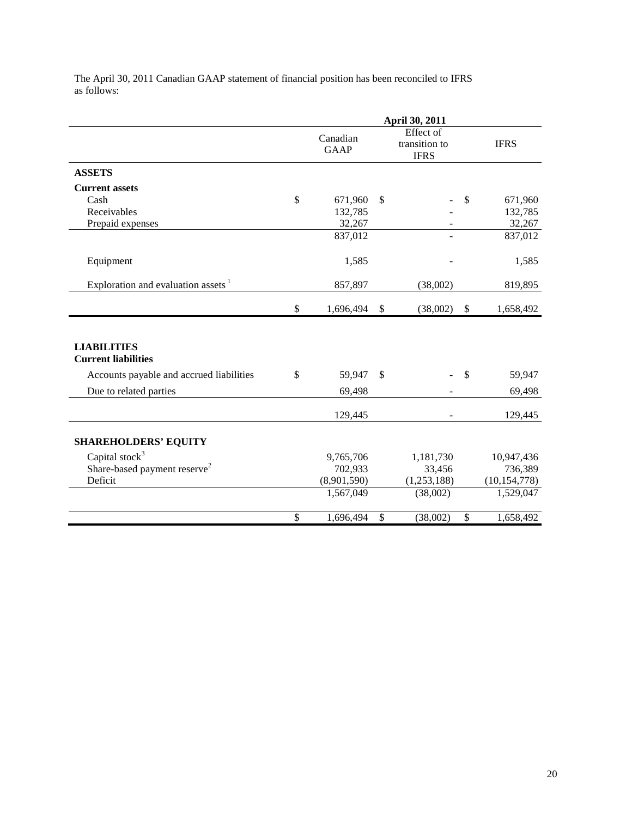| The April 30, 2011 Canadian GAAP statement of financial position has been reconciled to IFRS |  |
|----------------------------------------------------------------------------------------------|--|
| as follows:                                                                                  |  |

|                                                  |               | April 30, 2011          |               |                                           |        |                |
|--------------------------------------------------|---------------|-------------------------|---------------|-------------------------------------------|--------|----------------|
|                                                  |               | Canadian<br><b>GAAP</b> |               | Effect of<br>transition to<br><b>IFRS</b> |        | <b>IFRS</b>    |
| <b>ASSETS</b>                                    |               |                         |               |                                           |        |                |
| <b>Current assets</b>                            |               |                         |               |                                           |        |                |
| Cash                                             | $\mathbb{S}$  | 671,960                 | \$            |                                           | \$     | 671,960        |
| Receivables                                      |               | 132,785                 |               |                                           |        | 132,785        |
| Prepaid expenses                                 |               | 32,267                  |               |                                           |        | 32,267         |
|                                                  |               | 837,012                 |               |                                           |        | 837,012        |
| Equipment                                        |               | 1,585                   |               |                                           |        | 1,585          |
| Exploration and evaluation assets $1$            |               | 857,897                 |               | (38,002)                                  |        | 819,895        |
|                                                  | $\mathcal{S}$ | 1,696,494               | $\mathcal{S}$ | (38,002)                                  | $\$\,$ | 1,658,492      |
| <b>LIABILITIES</b><br><b>Current liabilities</b> |               |                         |               |                                           |        |                |
| Accounts payable and accrued liabilities         | $\mathbb{S}$  | 59,947                  | $\mathbb{S}$  |                                           | \$     | 59,947         |
| Due to related parties                           |               | 69,498                  |               |                                           |        | 69,498         |
|                                                  |               | 129,445                 |               |                                           |        | 129,445        |
| <b>SHAREHOLDERS' EQUITY</b>                      |               |                         |               |                                           |        |                |
| Capital stock $3$                                |               | 9,765,706               |               | 1,181,730                                 |        | 10,947,436     |
| Share-based payment reserve <sup>2</sup>         |               | 702,933                 |               | 33,456                                    |        | 736,389        |
| Deficit                                          |               | (8,901,590)             |               | (1,253,188)                               |        | (10, 154, 778) |
|                                                  |               | 1,567,049               |               | (38,002)                                  |        | 1,529,047      |
|                                                  | \$            | 1,696,494               | \$            | (38,002)                                  | \$     | 1,658,492      |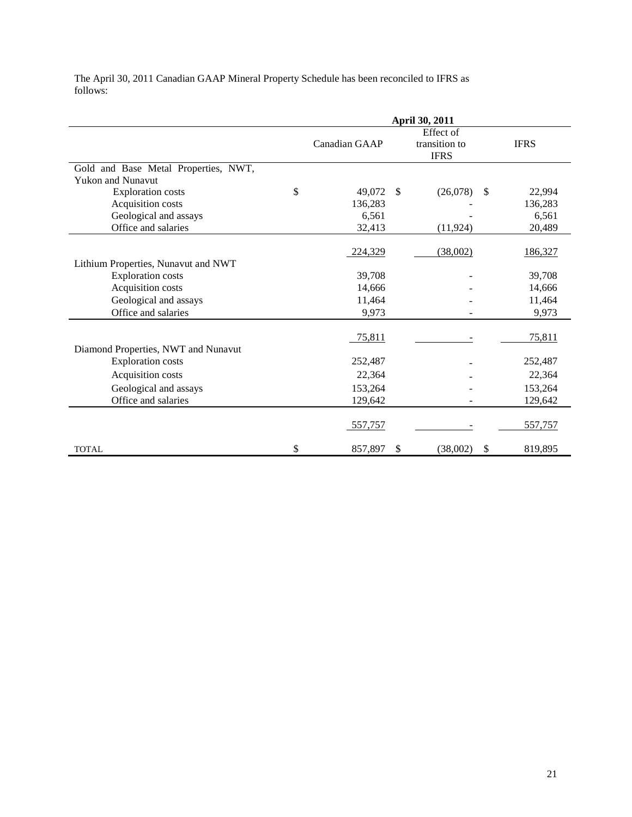The April 30, 2011 Canadian GAAP Mineral Property Schedule has been reconciled to IFRS as follows:

|                                      | April 30, 2011 |               |              |                                           |    |             |
|--------------------------------------|----------------|---------------|--------------|-------------------------------------------|----|-------------|
|                                      |                | Canadian GAAP |              | Effect of<br>transition to<br><b>IFRS</b> |    | <b>IFRS</b> |
| Gold and Base Metal Properties, NWT, |                |               |              |                                           |    |             |
| <b>Yukon and Nunavut</b>             |                |               |              |                                           |    |             |
| <b>Exploration costs</b>             | \$             | 49,072        | $\mathbb{S}$ | (26,078)                                  | \$ | 22,994      |
| Acquisition costs                    |                | 136,283       |              |                                           |    | 136,283     |
| Geological and assays                |                | 6,561         |              |                                           |    | 6,561       |
| Office and salaries                  |                | 32,413        |              | (11, 924)                                 |    | 20,489      |
| Lithium Properties, Nunavut and NWT  |                | 224,329       |              | (38,002)                                  |    | 186,327     |
| <b>Exploration costs</b>             |                | 39,708        |              |                                           |    | 39,708      |
| Acquisition costs                    |                | 14,666        |              |                                           |    | 14,666      |
| Geological and assays                |                | 11,464        |              |                                           |    | 11,464      |
| Office and salaries                  |                | 9,973         |              |                                           |    | 9,973       |
|                                      |                |               |              |                                           |    |             |
|                                      |                | 75,811        |              |                                           |    | 75,811      |
| Diamond Properties, NWT and Nunavut  |                |               |              |                                           |    |             |
| <b>Exploration costs</b>             |                | 252,487       |              |                                           |    | 252,487     |
| Acquisition costs                    |                | 22,364        |              |                                           |    | 22,364      |
| Geological and assays                |                | 153,264       |              |                                           |    | 153,264     |
| Office and salaries                  |                | 129,642       |              |                                           |    | 129,642     |
|                                      |                | 557,757       |              |                                           |    | 557,757     |
| <b>TOTAL</b>                         | \$             | 857,897       | \$           | (38,002)                                  | \$ | 819,895     |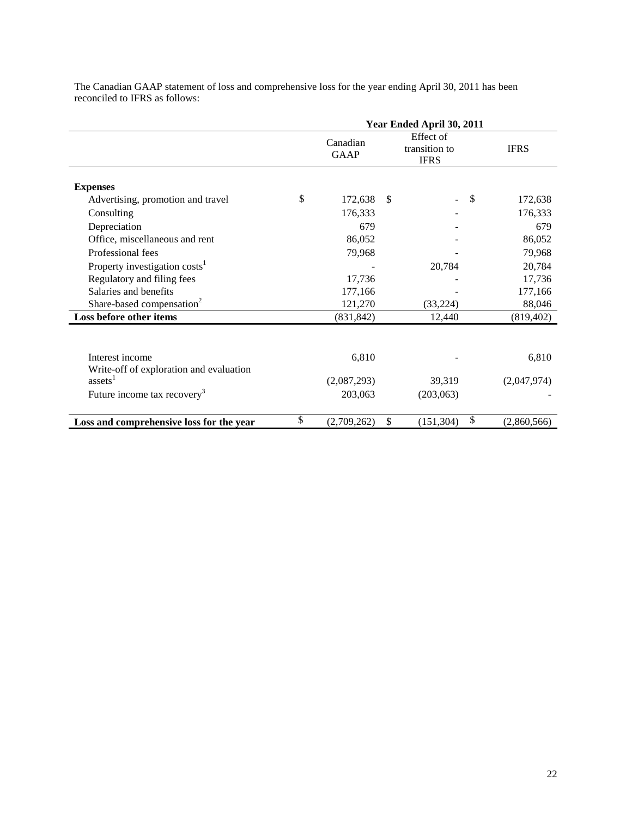|                                           | Year Ended April 30, 2011 |               |                                           |               |             |  |
|-------------------------------------------|---------------------------|---------------|-------------------------------------------|---------------|-------------|--|
|                                           | Canadian<br><b>GAAP</b>   |               | Effect of<br>transition to<br><b>IFRS</b> | <b>IFRS</b>   |             |  |
| <b>Expenses</b>                           |                           |               |                                           |               |             |  |
| Advertising, promotion and travel         | \$<br>172,638             | <sup>\$</sup> |                                           | <sup>\$</sup> | 172,638     |  |
| Consulting                                | 176,333                   |               |                                           |               | 176,333     |  |
| Depreciation                              | 679                       |               |                                           |               | 679         |  |
| Office, miscellaneous and rent            | 86,052                    |               |                                           |               | 86,052      |  |
| Professional fees                         | 79,968                    |               |                                           |               | 79,968      |  |
| Property investigation costs <sup>1</sup> |                           |               | 20,784                                    |               | 20,784      |  |
| Regulatory and filing fees                | 17,736                    |               |                                           |               | 17,736      |  |
| Salaries and benefits                     | 177,166                   |               |                                           |               | 177,166     |  |
| Share-based compensation <sup>2</sup>     | 121,270                   |               | (33,224)                                  |               | 88,046      |  |
| Loss before other items                   | (831, 842)                |               | 12,440                                    |               | (819, 402)  |  |
| Interest income                           | 6,810                     |               |                                           |               | 6,810       |  |
| Write-off of exploration and evaluation   |                           |               |                                           |               |             |  |
| assets <sup>1</sup>                       | (2,087,293)               |               | 39,319                                    |               | (2,047,974) |  |
| Future income tax recovery <sup>3</sup>   | 203,063                   |               | (203,063)                                 |               |             |  |
| Loss and comprehensive loss for the year  | \$<br>(2,709,262)         | \$            | (151, 304)                                | \$            | (2,860,566) |  |

The Canadian GAAP statement of loss and comprehensive loss for the year ending April 30, 2011 has been reconciled to IFRS as follows: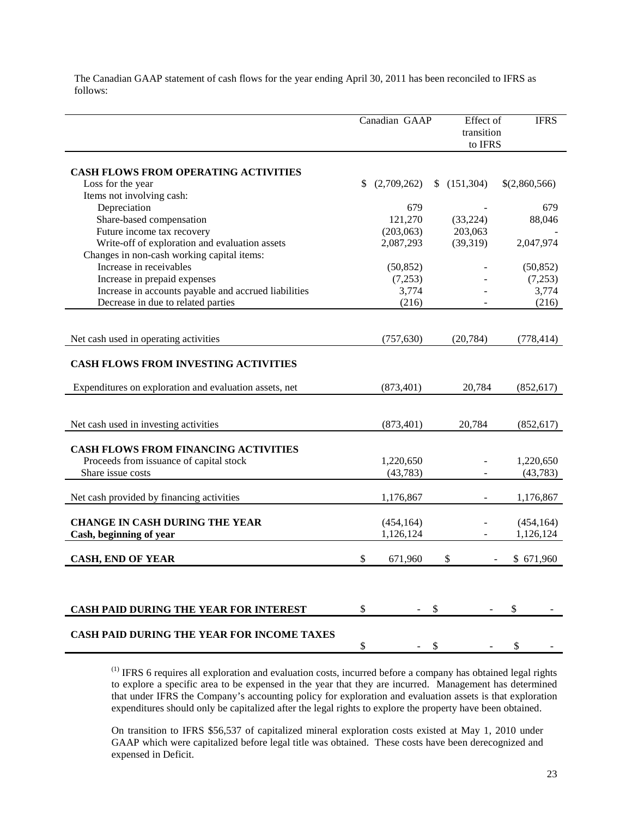The Canadian GAAP statement of cash flows for the year ending April 30, 2011 has been reconciled to IFRS as follows:

|                                                                                        | Canadian GAAP |             | Effect of<br>transition<br>to IFRS | <b>IFRS</b>   |
|----------------------------------------------------------------------------------------|---------------|-------------|------------------------------------|---------------|
| CASH FLOWS FROM OPERATING ACTIVITIES                                                   |               |             |                                    |               |
| Loss for the year                                                                      | \$            | (2,709,262) | \$(151,304)                        | \$(2,860,566) |
| Items not involving cash:                                                              |               |             |                                    |               |
| Depreciation                                                                           |               | 679         |                                    | 679           |
| Share-based compensation                                                               |               | 121,270     | (33, 224)                          | 88,046        |
| Future income tax recovery                                                             |               | (203,063)   | 203,063                            |               |
| Write-off of exploration and evaluation assets                                         |               | 2,087,293   | (39,319)                           | 2,047,974     |
| Changes in non-cash working capital items:                                             |               |             |                                    |               |
| Increase in receivables                                                                |               | (50, 852)   |                                    | (50, 852)     |
| Increase in prepaid expenses                                                           |               | (7,253)     |                                    | (7,253)       |
| Increase in accounts payable and accrued liabilities                                   |               | 3,774       |                                    | 3,774         |
| Decrease in due to related parties                                                     |               | (216)       |                                    | (216)         |
|                                                                                        |               |             |                                    |               |
| Net cash used in operating activities                                                  |               | (757, 630)  | (20, 784)                          | (778, 414)    |
| CASH FLOWS FROM INVESTING ACTIVITIES                                                   |               |             |                                    |               |
| Expenditures on exploration and evaluation assets, net                                 |               | (873, 401)  | 20,784                             | (852, 617)    |
|                                                                                        |               |             |                                    |               |
| Net cash used in investing activities                                                  |               | (873, 401)  | 20,784                             | (852, 617)    |
| <b>CASH FLOWS FROM FINANCING ACTIVITIES</b><br>Proceeds from issuance of capital stock |               | 1,220,650   |                                    | 1,220,650     |
| Share issue costs                                                                      |               | (43, 783)   |                                    | (43, 783)     |
|                                                                                        |               |             |                                    |               |
| Net cash provided by financing activities                                              |               | 1,176,867   |                                    | 1,176,867     |
| <b>CHANGE IN CASH DURING THE YEAR</b>                                                  |               | (454, 164)  |                                    | (454, 164)    |
| Cash, beginning of year                                                                |               | 1,126,124   |                                    | 1,126,124     |
| <b>CASH, END OF YEAR</b>                                                               | \$            | 671,960     | \$                                 | \$671,960     |
|                                                                                        |               |             |                                    |               |
| CASH PAID DURING THE YEAR FOR INTEREST                                                 | \$            |             | \$                                 | \$            |
| <b>CASH PAID DURING THE YEAR FOR INCOME TAXES</b>                                      | \$            |             | \$                                 | \$            |

(1) IFRS 6 requires all exploration and evaluation costs, incurred before a company has obtained legal rights to explore a specific area to be expensed in the year that they are incurred. Management has determined that under IFRS the Company's accounting policy for exploration and evaluation assets is that exploration expenditures should only be capitalized after the legal rights to explore the property have been obtained.

On transition to IFRS \$56,537 of capitalized mineral exploration costs existed at May 1, 2010 under GAAP which were capitalized before legal title was obtained. These costs have been derecognized and expensed in Deficit.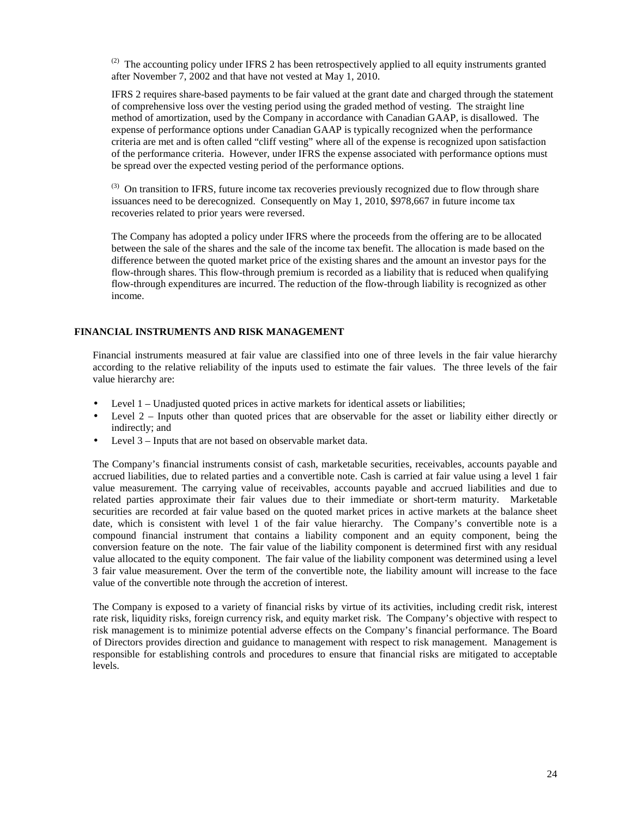$^{(2)}$  The accounting policy under IFRS 2 has been retrospectively applied to all equity instruments granted after November 7, 2002 and that have not vested at May 1, 2010.

IFRS 2 requires share-based payments to be fair valued at the grant date and charged through the statement of comprehensive loss over the vesting period using the graded method of vesting. The straight line method of amortization, used by the Company in accordance with Canadian GAAP, is disallowed. The expense of performance options under Canadian GAAP is typically recognized when the performance criteria are met and is often called "cliff vesting" where all of the expense is recognized upon satisfaction of the performance criteria. However, under IFRS the expense associated with performance options must be spread over the expected vesting period of the performance options.

 $<sup>(3)</sup>$  On transition to IFRS, future income tax recoveries previously recognized due to flow through share</sup> issuances need to be derecognized. Consequently on May 1, 2010, \$978,667 in future income tax recoveries related to prior years were reversed.

The Company has adopted a policy under IFRS where the proceeds from the offering are to be allocated between the sale of the shares and the sale of the income tax benefit. The allocation is made based on the difference between the quoted market price of the existing shares and the amount an investor pays for the flow-through shares. This flow-through premium is recorded as a liability that is reduced when qualifying flow-through expenditures are incurred. The reduction of the flow-through liability is recognized as other income.

### **FINANCIAL INSTRUMENTS AND RISK MANAGEMENT**

Financial instruments measured at fair value are classified into one of three levels in the fair value hierarchy according to the relative reliability of the inputs used to estimate the fair values. The three levels of the fair value hierarchy are:

- Level 1 Unadjusted quoted prices in active markets for identical assets or liabilities;
- Level 2 Inputs other than quoted prices that are observable for the asset or liability either directly or indirectly; and
- Level 3 Inputs that are not based on observable market data.

The Company's financial instruments consist of cash, marketable securities, receivables, accounts payable and accrued liabilities, due to related parties and a convertible note. Cash is carried at fair value using a level 1 fair value measurement. The carrying value of receivables, accounts payable and accrued liabilities and due to related parties approximate their fair values due to their immediate or short-term maturity. Marketable securities are recorded at fair value based on the quoted market prices in active markets at the balance sheet date, which is consistent with level 1 of the fair value hierarchy. The Company's convertible note is a compound financial instrument that contains a liability component and an equity component, being the conversion feature on the note. The fair value of the liability component is determined first with any residual value allocated to the equity component. The fair value of the liability component was determined using a level 3 fair value measurement. Over the term of the convertible note, the liability amount will increase to the face value of the convertible note through the accretion of interest.

The Company is exposed to a variety of financial risks by virtue of its activities, including credit risk, interest rate risk, liquidity risks, foreign currency risk, and equity market risk. The Company's objective with respect to risk management is to minimize potential adverse effects on the Company's financial performance. The Board of Directors provides direction and guidance to management with respect to risk management. Management is responsible for establishing controls and procedures to ensure that financial risks are mitigated to acceptable levels.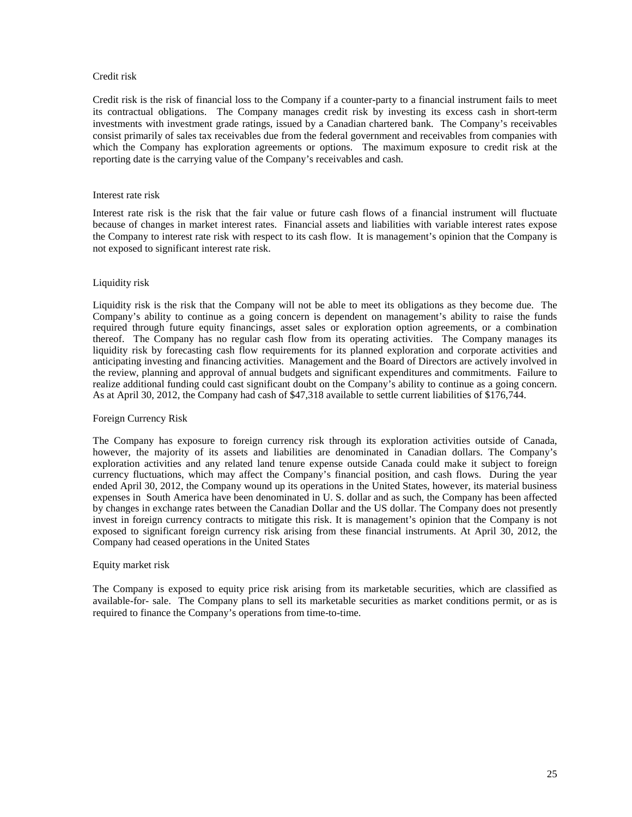### Credit risk

Credit risk is the risk of financial loss to the Company if a counter-party to a financial instrument fails to meet its contractual obligations. The Company manages credit risk by investing its excess cash in short-term investments with investment grade ratings, issued by a Canadian chartered bank. The Company's receivables consist primarily of sales tax receivables due from the federal government and receivables from companies with which the Company has exploration agreements or options. The maximum exposure to credit risk at the reporting date is the carrying value of the Company's receivables and cash.

### Interest rate risk

Interest rate risk is the risk that the fair value or future cash flows of a financial instrument will fluctuate because of changes in market interest rates. Financial assets and liabilities with variable interest rates expose the Company to interest rate risk with respect to its cash flow. It is management's opinion that the Company is not exposed to significant interest rate risk.

### Liquidity risk

Liquidity risk is the risk that the Company will not be able to meet its obligations as they become due. The Company's ability to continue as a going concern is dependent on management's ability to raise the funds required through future equity financings, asset sales or exploration option agreements, or a combination thereof. The Company has no regular cash flow from its operating activities. The Company manages its liquidity risk by forecasting cash flow requirements for its planned exploration and corporate activities and anticipating investing and financing activities. Management and the Board of Directors are actively involved in the review, planning and approval of annual budgets and significant expenditures and commitments. Failure to realize additional funding could cast significant doubt on the Company's ability to continue as a going concern. As at April 30, 2012, the Company had cash of \$47,318 available to settle current liabilities of \$176,744.

### Foreign Currency Risk

 The Company has exposure to foreign currency risk through its exploration activities outside of Canada, however, the majority of its assets and liabilities are denominated in Canadian dollars. The Company's exploration activities and any related land tenure expense outside Canada could make it subject to foreign currency fluctuations, which may affect the Company's financial position, and cash flows. During the year ended April 30, 2012, the Company wound up its operations in the United States, however, its material business expenses in South America have been denominated in U. S. dollar and as such, the Company has been affected by changes in exchange rates between the Canadian Dollar and the US dollar. The Company does not presently invest in foreign currency contracts to mitigate this risk. It is management's opinion that the Company is not exposed to significant foreign currency risk arising from these financial instruments. At April 30, 2012, the Company had ceased operations in the United States

### Equity market risk

The Company is exposed to equity price risk arising from its marketable securities, which are classified as available-for- sale. The Company plans to sell its marketable securities as market conditions permit, or as is required to finance the Company's operations from time-to-time.